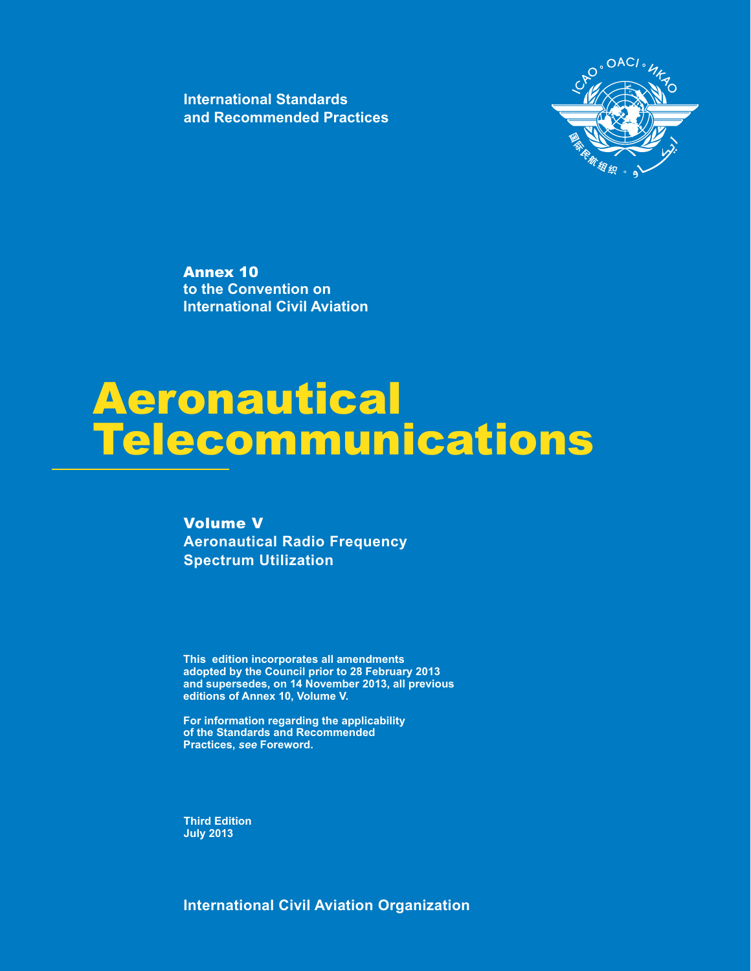**International Standards and Recommended Practices**



Annex 10 **to the Convention on International Civil Aviation**

# Aeronautical **Telecommunications**

Volume V **Aeronautical Radio Frequency Spectrum Utilization**

**This edition incorporates all amendments adopted by the Council prior to 28 February 2013 and supersedes, on 14 November 2013, all previous editions of Annex 10, Volume V.**

**For information regarding the applicability of the Standards and Recommended Practices, see Foreword.** 

**Third Edition July 2013**

**International Civil Aviation Organization**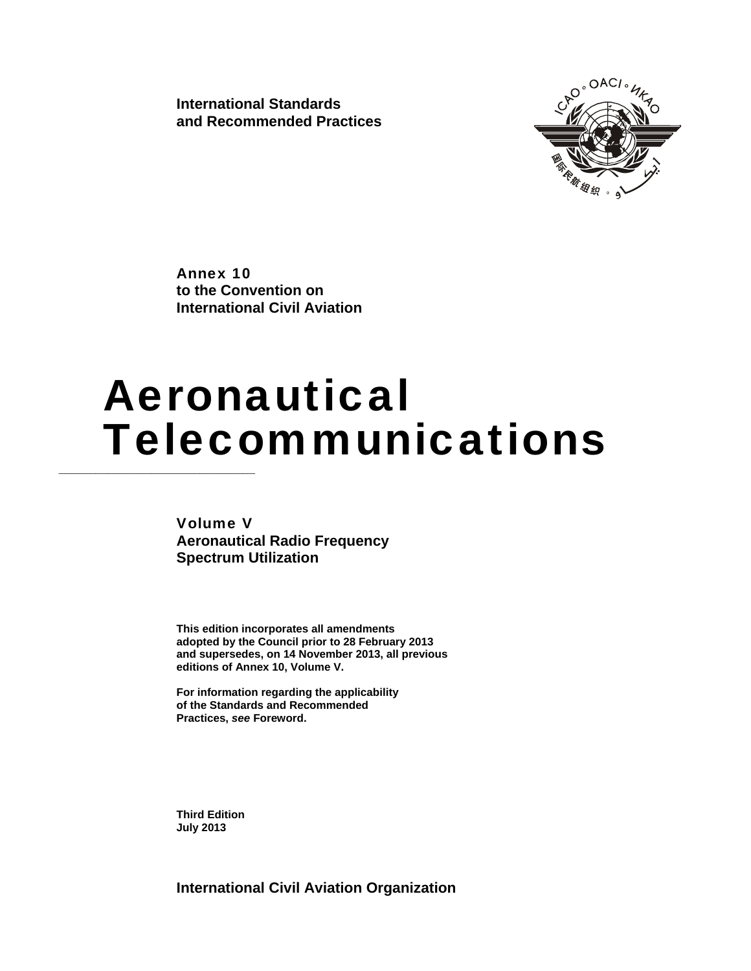**International Standards and Recommended Practices** 



Annex 10 **to the Convention on International Civil Aviation**

# Aeronautical **Telecommunications**

Volume V **Aeronautical Radio Frequency Spectrum Utilization** 

**This edition incorporates all amendments adopted by the Council prior to 28 February 2013 and supersedes, on 14 November 2013, all previous editions of Annex 10, Volume V.** 

**For information regarding the applicability of the Standards and Recommended Practices,** *see* **Foreword.** 

**Third Edition July 2013**

**International Civil Aviation Organization**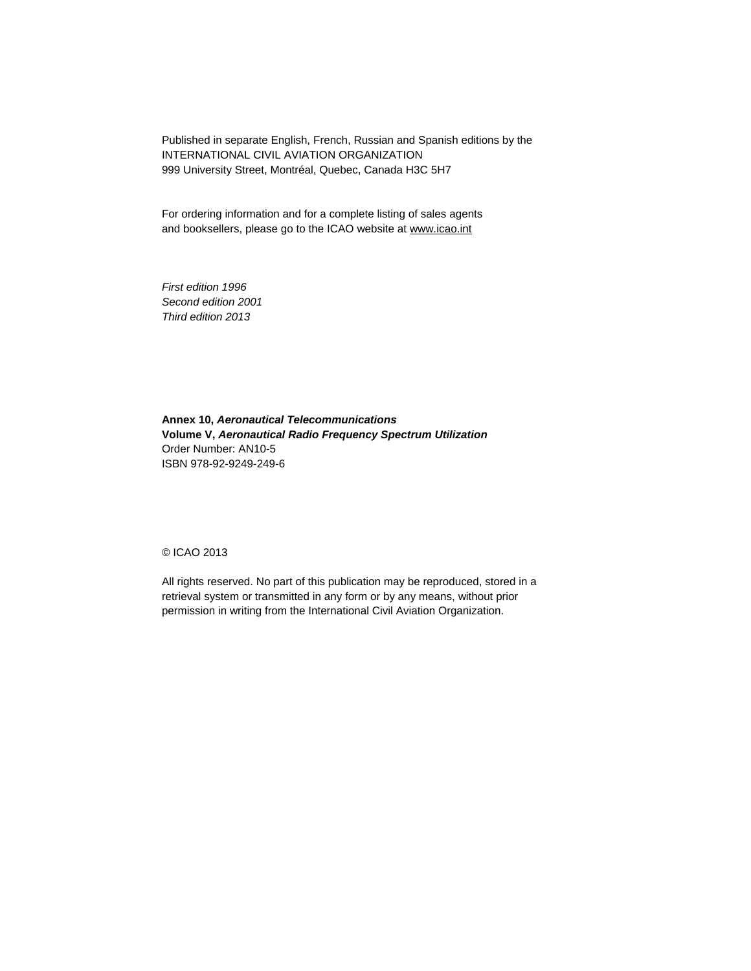Published in separate English, French, Russian and Spanish editions by the INTERNATIONAL CIVIL AVIATION ORGANIZATION 999 University Street, Montréal, Quebec, Canada H3C 5H7

For ordering information and for a complete listing of sales agents and booksellers, please go to the ICAO website at www.icao.int

*First edition 1996 Second edition 2001 Third edition 2013* 

**Annex 10,** *Aeronautical Telecommunications*  **Volume V,** *Aeronautical Radio Frequency Spectrum Utilization*  Order Number: AN10-5 ISBN 978-92-9249-249-6

© ICAO 2013

All rights reserved. No part of this publication may be reproduced, stored in a retrieval system or transmitted in any form or by any means, without prior permission in writing from the International Civil Aviation Organization.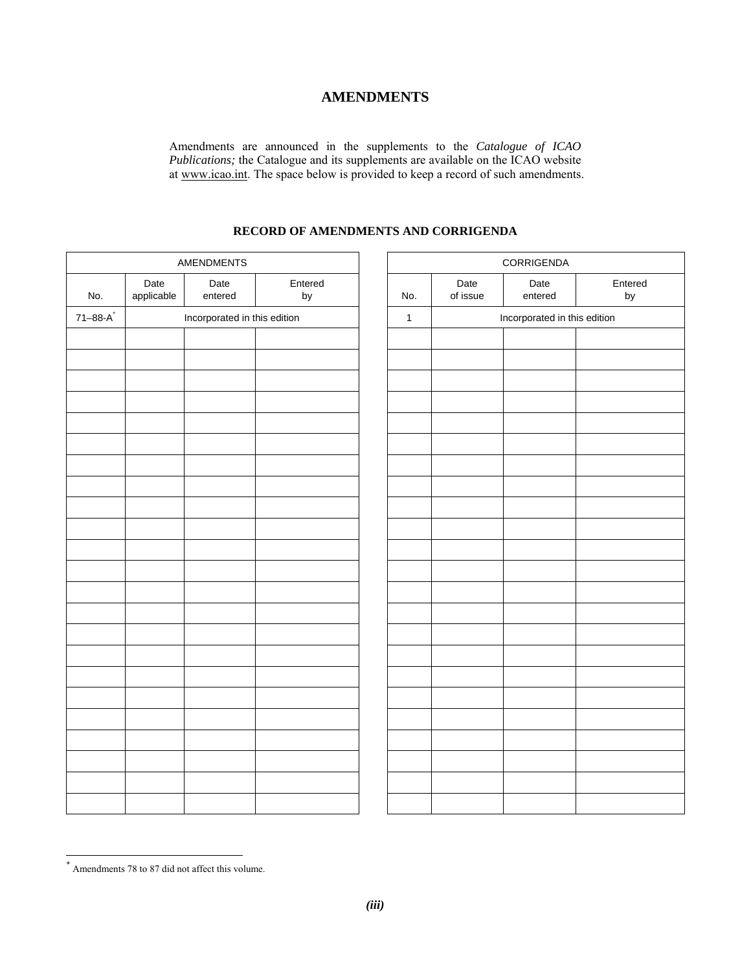# **AMENDMENTS**

Amendments are announced in the supplements to the *Catalogue of ICAO Publications;* the Catalogue and its supplements are available on the ICAO website at www.icao.int. The space below is provided to keep a record of such amendments.

## **RECORD OF AMENDMENTS AND CORRIGENDA**

|                 |                    | <b>AMENDMENTS</b>            |               |              |                  | CORRIGENDA                   |               |
|-----------------|--------------------|------------------------------|---------------|--------------|------------------|------------------------------|---------------|
| No.             | Date<br>applicable | Date<br>entered              | Entered<br>by | No.          | Date<br>of issue | Date<br>entered              | Entered<br>by |
| $71 - 88 - A^2$ |                    | Incorporated in this edition |               | $\mathbf{1}$ |                  | Incorporated in this edition |               |
|                 |                    |                              |               |              |                  |                              |               |
|                 |                    |                              |               |              |                  |                              |               |
|                 |                    |                              |               |              |                  |                              |               |
|                 |                    |                              |               |              |                  |                              |               |
|                 |                    |                              |               |              |                  |                              |               |
|                 |                    |                              |               |              |                  |                              |               |
|                 |                    |                              |               |              |                  |                              |               |
|                 |                    |                              |               |              |                  |                              |               |
|                 |                    |                              |               |              |                  |                              |               |
|                 |                    |                              |               |              |                  |                              |               |
|                 |                    |                              |               |              |                  |                              |               |
|                 |                    |                              |               |              |                  |                              |               |
|                 |                    |                              |               |              |                  |                              |               |
|                 |                    |                              |               |              |                  |                              |               |
|                 |                    |                              |               |              |                  |                              |               |
|                 |                    |                              |               |              |                  |                              |               |
|                 |                    |                              |               |              |                  |                              |               |
|                 |                    |                              |               |              |                  |                              |               |
|                 |                    |                              |               |              |                  |                              |               |
|                 |                    |                              |               |              |                  |                              |               |
|                 |                    |                              |               |              |                  |                              |               |
|                 |                    |                              |               |              |                  |                              |               |
|                 |                    |                              |               |              |                  |                              |               |

 \* Amendments 78 to 87 did not affect this volume.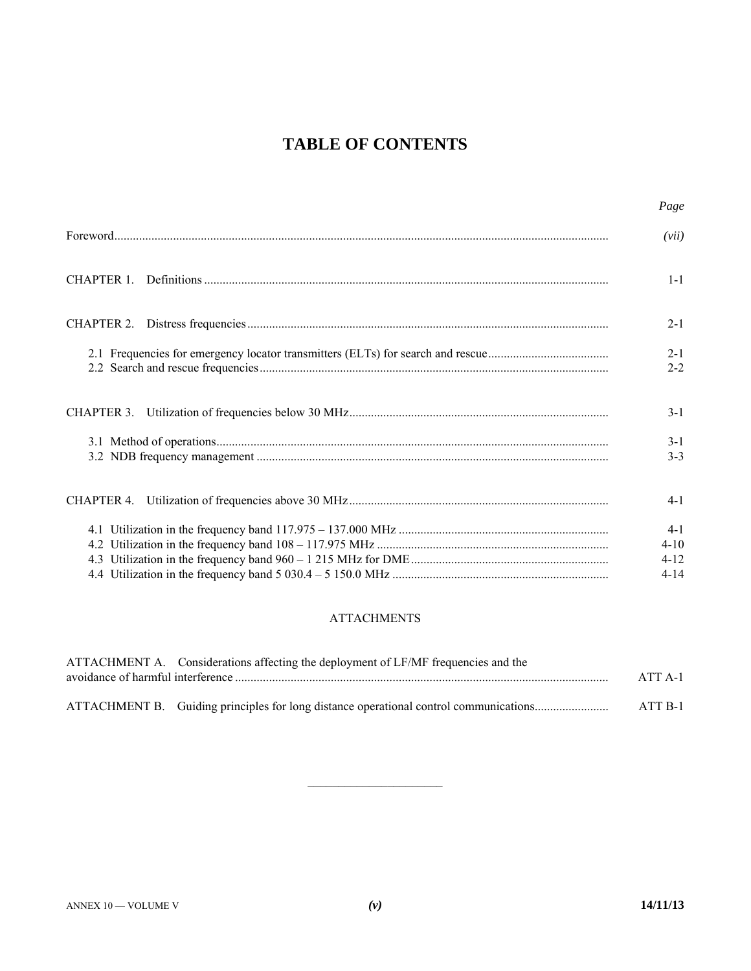# **TABLE OF CONTENTS**

|            | Page                                      |
|------------|-------------------------------------------|
|            | (vii)                                     |
| CHAPTER 1. | $1 - 1$                                   |
|            | $2 - 1$                                   |
|            | $2 - 1$<br>$2 - 2$                        |
|            | $3-1$                                     |
|            | $3-1$<br>$3 - 3$                          |
|            | $4-1$                                     |
|            | $4-1$<br>$4 - 10$<br>$4 - 12$<br>$4 - 14$ |

## **ATTACHMENTS**

| ATTACHMENT A. Considerations affecting the deployment of LF/MF frequencies and the    |           |
|---------------------------------------------------------------------------------------|-----------|
|                                                                                       | $ATT A-1$ |
|                                                                                       |           |
| ATTACHMENT B. Guiding principles for long distance operational control communications | ATT B-1   |

 $\overline{\phantom{a}}$  , where  $\overline{\phantom{a}}$  , where  $\overline{\phantom{a}}$  , where  $\overline{\phantom{a}}$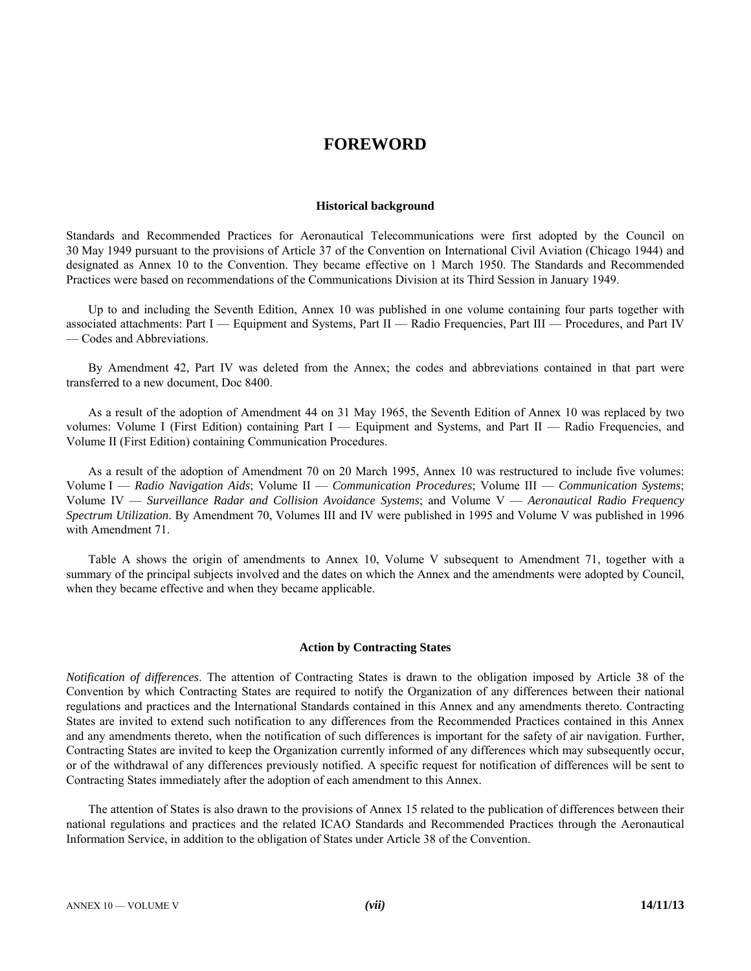# **FOREWORD**

#### **Historical background**

Standards and Recommended Practices for Aeronautical Telecommunications were first adopted by the Council on 30 May 1949 pursuant to the provisions of Article 37 of the Convention on International Civil Aviation (Chicago 1944) and designated as Annex 10 to the Convention. They became effective on 1 March 1950. The Standards and Recommended Practices were based on recommendations of the Communications Division at its Third Session in January 1949.

 Up to and including the Seventh Edition, Annex 10 was published in one volume containing four parts together with associated attachments: Part I — Equipment and Systems, Part II — Radio Frequencies, Part III — Procedures, and Part IV — Codes and Abbreviations.

 By Amendment 42, Part IV was deleted from the Annex; the codes and abbreviations contained in that part were transferred to a new document, Doc 8400.

 As a result of the adoption of Amendment 44 on 31 May 1965, the Seventh Edition of Annex 10 was replaced by two volumes: Volume I (First Edition) containing Part I — Equipment and Systems, and Part II — Radio Frequencies, and Volume II (First Edition) containing Communication Procedures.

 As a result of the adoption of Amendment 70 on 20 March 1995, Annex 10 was restructured to include five volumes: Volume I — *Radio Navigation Aids*; Volume II — *Communication Procedures*; Volume III — *Communication Systems*; Volume IV — *Surveillance Radar and Collision Avoidance Systems*; and Volume V — *Aeronautical Radio Frequency Spectrum Utilization*. By Amendment 70, Volumes III and IV were published in 1995 and Volume V was published in 1996 with Amendment 71.

 Table A shows the origin of amendments to Annex 10, Volume V subsequent to Amendment 71, together with a summary of the principal subjects involved and the dates on which the Annex and the amendments were adopted by Council, when they became effective and when they became applicable.

### **Action by Contracting States**

*Notification of differences*. The attention of Contracting States is drawn to the obligation imposed by Article 38 of the Convention by which Contracting States are required to notify the Organization of any differences between their national regulations and practices and the International Standards contained in this Annex and any amendments thereto. Contracting States are invited to extend such notification to any differences from the Recommended Practices contained in this Annex and any amendments thereto, when the notification of such differences is important for the safety of air navigation. Further, Contracting States are invited to keep the Organization currently informed of any differences which may subsequently occur, or of the withdrawal of any differences previously notified. A specific request for notification of differences will be sent to Contracting States immediately after the adoption of each amendment to this Annex.

 The attention of States is also drawn to the provisions of Annex 15 related to the publication of differences between their national regulations and practices and the related ICAO Standards and Recommended Practices through the Aeronautical Information Service, in addition to the obligation of States under Article 38 of the Convention.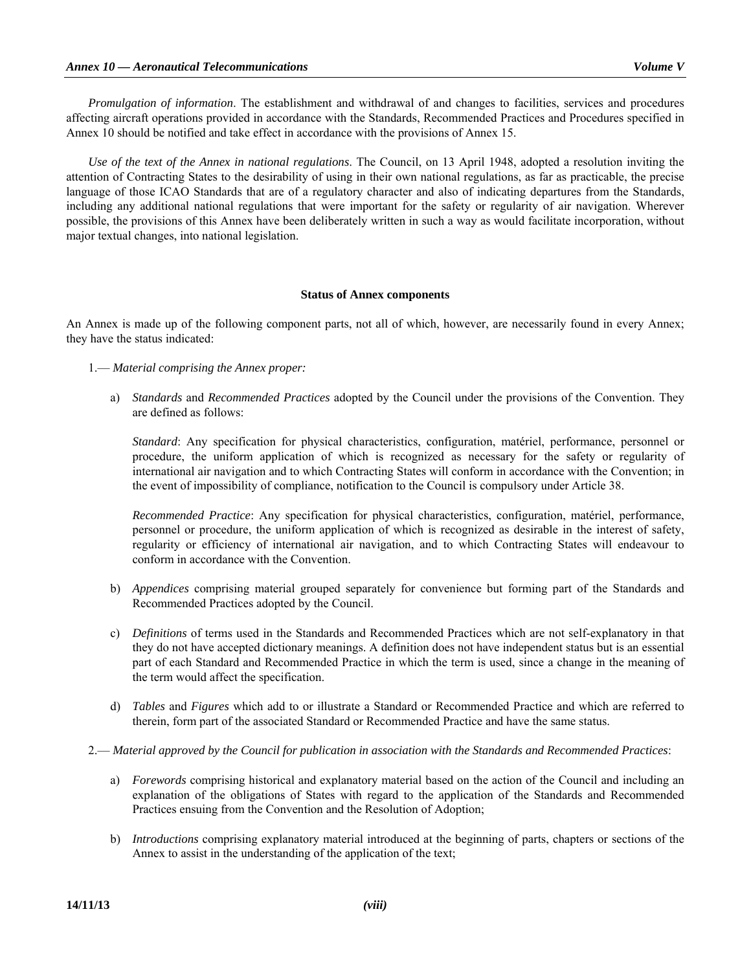*Promulgation of information*. The establishment and withdrawal of and changes to facilities, services and procedures affecting aircraft operations provided in accordance with the Standards, Recommended Practices and Procedures specified in Annex 10 should be notified and take effect in accordance with the provisions of Annex 15.

 *Use of the text of the Annex in national regulations*. The Council, on 13 April 1948, adopted a resolution inviting the attention of Contracting States to the desirability of using in their own national regulations, as far as practicable, the precise language of those ICAO Standards that are of a regulatory character and also of indicating departures from the Standards, including any additional national regulations that were important for the safety or regularity of air navigation. Wherever possible, the provisions of this Annex have been deliberately written in such a way as would facilitate incorporation, without major textual changes, into national legislation.

### **Status of Annex components**

An Annex is made up of the following component parts, not all of which, however, are necessarily found in every Annex; they have the status indicated:

1.— *Material comprising the Annex proper:* 

 a) *Standards* and *Recommended Practices* adopted by the Council under the provisions of the Convention. They are defined as follows:

 *Standard*: Any specification for physical characteristics, configuration, matériel, performance, personnel or procedure, the uniform application of which is recognized as necessary for the safety or regularity of international air navigation and to which Contracting States will conform in accordance with the Convention; in the event of impossibility of compliance, notification to the Council is compulsory under Article 38.

 *Recommended Practice*: Any specification for physical characteristics, configuration, matériel, performance, personnel or procedure, the uniform application of which is recognized as desirable in the interest of safety, regularity or efficiency of international air navigation, and to which Contracting States will endeavour to conform in accordance with the Convention.

- b) *Appendices* comprising material grouped separately for convenience but forming part of the Standards and Recommended Practices adopted by the Council.
- c) *Definitions* of terms used in the Standards and Recommended Practices which are not self-explanatory in that they do not have accepted dictionary meanings. A definition does not have independent status but is an essential part of each Standard and Recommended Practice in which the term is used, since a change in the meaning of the term would affect the specification.
- d) *Tables* and *Figures* which add to or illustrate a Standard or Recommended Practice and which are referred to therein, form part of the associated Standard or Recommended Practice and have the same status.
- 2.— *Material approved by the Council for publication in association with the Standards and Recommended Practices*:
	- a) *Forewords* comprising historical and explanatory material based on the action of the Council and including an explanation of the obligations of States with regard to the application of the Standards and Recommended Practices ensuing from the Convention and the Resolution of Adoption;
	- b) *Introductions* comprising explanatory material introduced at the beginning of parts, chapters or sections of the Annex to assist in the understanding of the application of the text;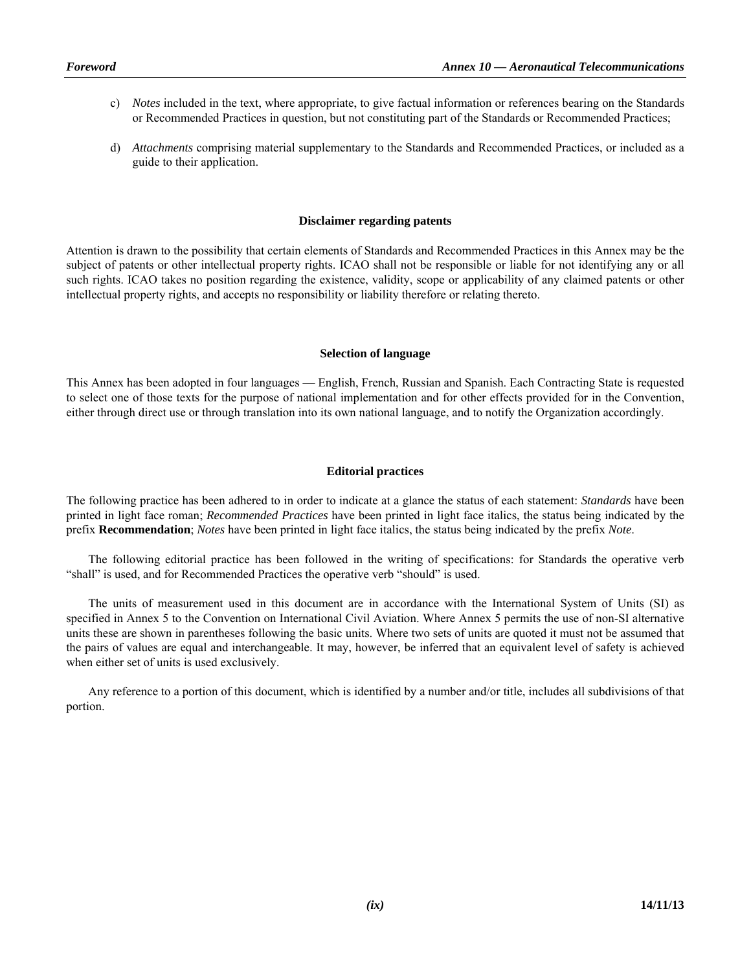- c) *Notes* included in the text, where appropriate, to give factual information or references bearing on the Standards or Recommended Practices in question, but not constituting part of the Standards or Recommended Practices;
- d) *Attachments* comprising material supplementary to the Standards and Recommended Practices, or included as a guide to their application.

#### **Disclaimer regarding patents**

Attention is drawn to the possibility that certain elements of Standards and Recommended Practices in this Annex may be the subject of patents or other intellectual property rights. ICAO shall not be responsible or liable for not identifying any or all such rights. ICAO takes no position regarding the existence, validity, scope or applicability of any claimed patents or other intellectual property rights, and accepts no responsibility or liability therefore or relating thereto.

#### **Selection of language**

This Annex has been adopted in four languages — English, French, Russian and Spanish. Each Contracting State is requested to select one of those texts for the purpose of national implementation and for other effects provided for in the Convention, either through direct use or through translation into its own national language, and to notify the Organization accordingly.

### **Editorial practices**

The following practice has been adhered to in order to indicate at a glance the status of each statement: *Standards* have been printed in light face roman; *Recommended Practices* have been printed in light face italics, the status being indicated by the prefix **Recommendation**; *Notes* have been printed in light face italics, the status being indicated by the prefix *Note*.

 The following editorial practice has been followed in the writing of specifications: for Standards the operative verb "shall" is used, and for Recommended Practices the operative verb "should" is used.

 The units of measurement used in this document are in accordance with the International System of Units (SI) as specified in Annex 5 to the Convention on International Civil Aviation. Where Annex 5 permits the use of non-SI alternative units these are shown in parentheses following the basic units. Where two sets of units are quoted it must not be assumed that the pairs of values are equal and interchangeable. It may, however, be inferred that an equivalent level of safety is achieved when either set of units is used exclusively.

 Any reference to a portion of this document, which is identified by a number and/or title, includes all subdivisions of that portion.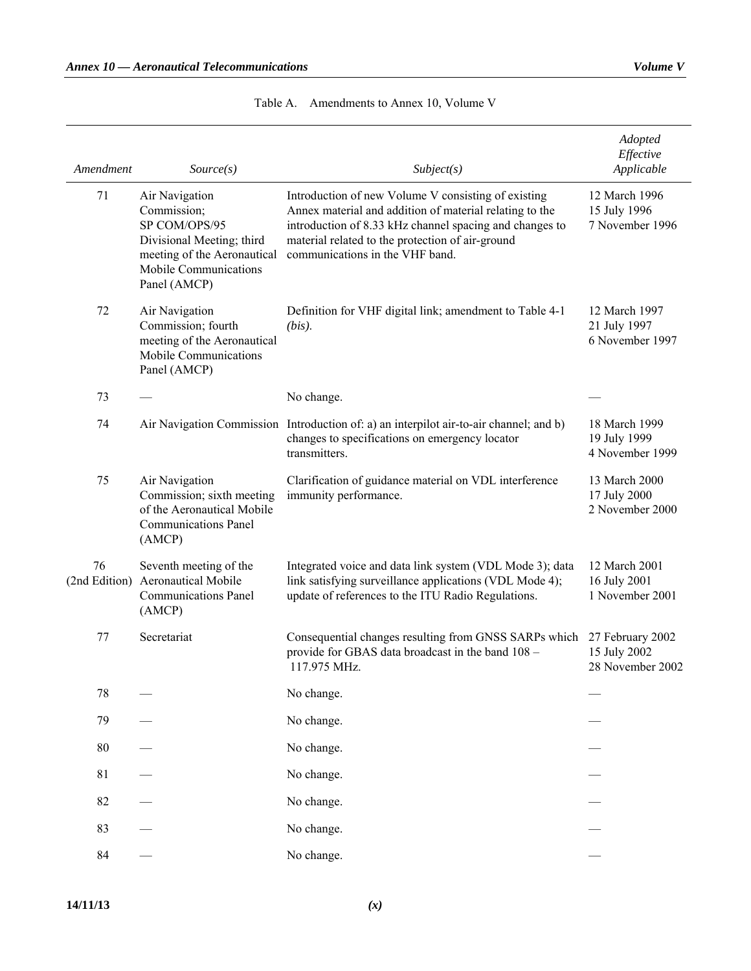| Amendment           | Source(s)                                                                                                                                           | Subject(s)                                                                                                                                                                                                                                                       | Adopted<br>Effective<br>Applicable                   |
|---------------------|-----------------------------------------------------------------------------------------------------------------------------------------------------|------------------------------------------------------------------------------------------------------------------------------------------------------------------------------------------------------------------------------------------------------------------|------------------------------------------------------|
| 71                  | Air Navigation<br>Commission;<br>SP COM/OPS/95<br>Divisional Meeting; third<br>meeting of the Aeronautical<br>Mobile Communications<br>Panel (AMCP) | Introduction of new Volume V consisting of existing<br>Annex material and addition of material relating to the<br>introduction of 8.33 kHz channel spacing and changes to<br>material related to the protection of air-ground<br>communications in the VHF band. | 12 March 1996<br>15 July 1996<br>7 November 1996     |
| 72                  | Air Navigation<br>Commission; fourth<br>meeting of the Aeronautical<br>Mobile Communications<br>Panel (AMCP)                                        | Definition for VHF digital link; amendment to Table 4-1<br>$(bis)$ .                                                                                                                                                                                             | 12 March 1997<br>21 July 1997<br>6 November 1997     |
| 73                  |                                                                                                                                                     | No change.                                                                                                                                                                                                                                                       |                                                      |
| 74                  |                                                                                                                                                     | Air Navigation Commission Introduction of: a) an interpilot air-to-air channel; and b)<br>changes to specifications on emergency locator<br>transmitters.                                                                                                        | 18 March 1999<br>19 July 1999<br>4 November 1999     |
| 75                  | Air Navigation<br>Commission; sixth meeting<br>of the Aeronautical Mobile<br><b>Communications Panel</b><br>(AMCP)                                  | Clarification of guidance material on VDL interference<br>immunity performance.                                                                                                                                                                                  | 13 March 2000<br>17 July 2000<br>2 November 2000     |
| 76<br>(2nd Edition) | Seventh meeting of the<br><b>Aeronautical Mobile</b><br><b>Communications Panel</b><br>(AMCP)                                                       | Integrated voice and data link system (VDL Mode 3); data<br>link satisfying surveillance applications (VDL Mode 4);<br>update of references to the ITU Radio Regulations.                                                                                        | 12 March 2001<br>16 July 2001<br>1 November 2001     |
| 77                  | Secretariat                                                                                                                                         | Consequential changes resulting from GNSS SARPs which<br>provide for GBAS data broadcast in the band 108 -<br>117.975 MHz.                                                                                                                                       | 27 February 2002<br>15 July 2002<br>28 November 2002 |
| 78                  |                                                                                                                                                     | No change.                                                                                                                                                                                                                                                       |                                                      |
| 79                  |                                                                                                                                                     | No change.                                                                                                                                                                                                                                                       |                                                      |
| 80                  |                                                                                                                                                     | No change.                                                                                                                                                                                                                                                       |                                                      |
| 81                  |                                                                                                                                                     | No change.                                                                                                                                                                                                                                                       |                                                      |
| 82                  |                                                                                                                                                     | No change.                                                                                                                                                                                                                                                       |                                                      |
| 83                  |                                                                                                                                                     | No change.                                                                                                                                                                                                                                                       |                                                      |
| 84                  |                                                                                                                                                     | No change.                                                                                                                                                                                                                                                       |                                                      |

Table A. Amendments to Annex 10, Volume V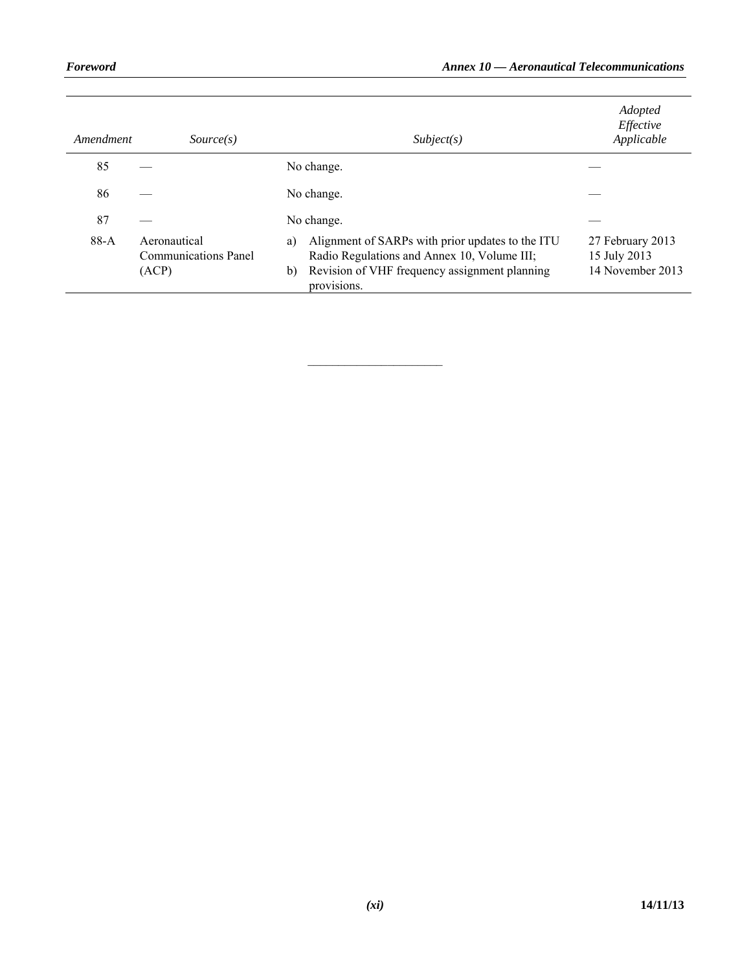| Amendment | Source(s)                                            | Subject(s)                                                                                                                                                                  | Adopted<br>Effective<br>Applicable                   |
|-----------|------------------------------------------------------|-----------------------------------------------------------------------------------------------------------------------------------------------------------------------------|------------------------------------------------------|
| 85        |                                                      | No change.                                                                                                                                                                  |                                                      |
| 86        |                                                      | No change.                                                                                                                                                                  |                                                      |
| 87        |                                                      | No change.                                                                                                                                                                  |                                                      |
| $88-A$    | Aeronautical<br><b>Communications Panel</b><br>(ACP) | Alignment of SARPs with prior updates to the ITU<br>a)<br>Radio Regulations and Annex 10, Volume III;<br>Revision of VHF frequency assignment planning<br>b)<br>provisions. | 27 February 2013<br>15 July 2013<br>14 November 2013 |

 $\mathcal{L}=\{1,2,3,4,5\}$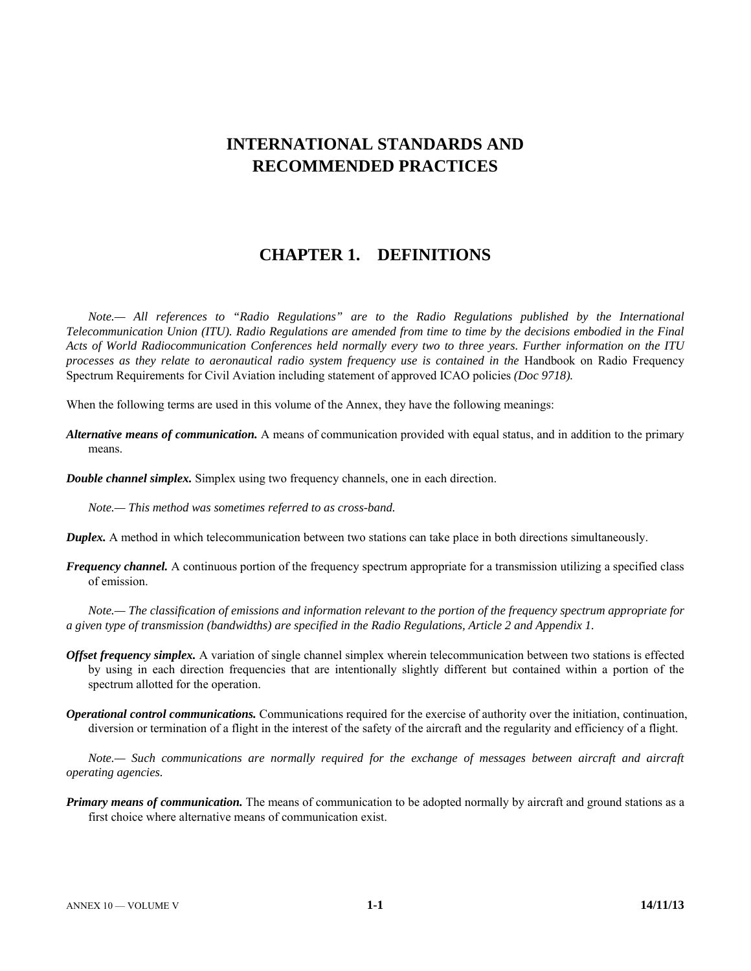# **INTERNATIONAL STANDARDS AND RECOMMENDED PRACTICES**

# **CHAPTER 1. DEFINITIONS**

*Note.— All references to "Radio Regulations" are to the Radio Regulations published by the International Telecommunication Union (ITU). Radio Regulations are amended from time to time by the decisions embodied in the Final Acts of World Radiocommunication Conferences held normally every two to three years. Further information on the ITU processes as they relate to aeronautical radio system frequency use is contained in the Handbook on Radio Frequency* Spectrum Requirements for Civil Aviation including statement of approved ICAO policies *(Doc 9718).*

When the following terms are used in this volume of the Annex, they have the following meanings:

- *Alternative means of communication.* A means of communication provided with equal status, and in addition to the primary means.
- *Double channel simplex.* Simplex using two frequency channels, one in each direction.

*Note.— This method was sometimes referred to as cross-band.*

- *Duplex.* A method in which telecommunication between two stations can take place in both directions simultaneously.
- *Frequency channel.* A continuous portion of the frequency spectrum appropriate for a transmission utilizing a specified class of emission.

*Note.— The classification of emissions and information relevant to the portion of the frequency spectrum appropriate for a given type of transmission (bandwidths) are specified in the Radio Regulations, Article 2 and Appendix 1.*

- *Offset frequency simplex.* A variation of single channel simplex wherein telecommunication between two stations is effected by using in each direction frequencies that are intentionally slightly different but contained within a portion of the spectrum allotted for the operation.
- *Operational control communications.* Communications required for the exercise of authority over the initiation, continuation, diversion or termination of a flight in the interest of the safety of the aircraft and the regularity and efficiency of a flight.

*Note.*— Such communications are normally required for the exchange of messages between aircraft and aircraft *operating agencies.*

*Primary means of communication.* The means of communication to be adopted normally by aircraft and ground stations as a first choice where alternative means of communication exist.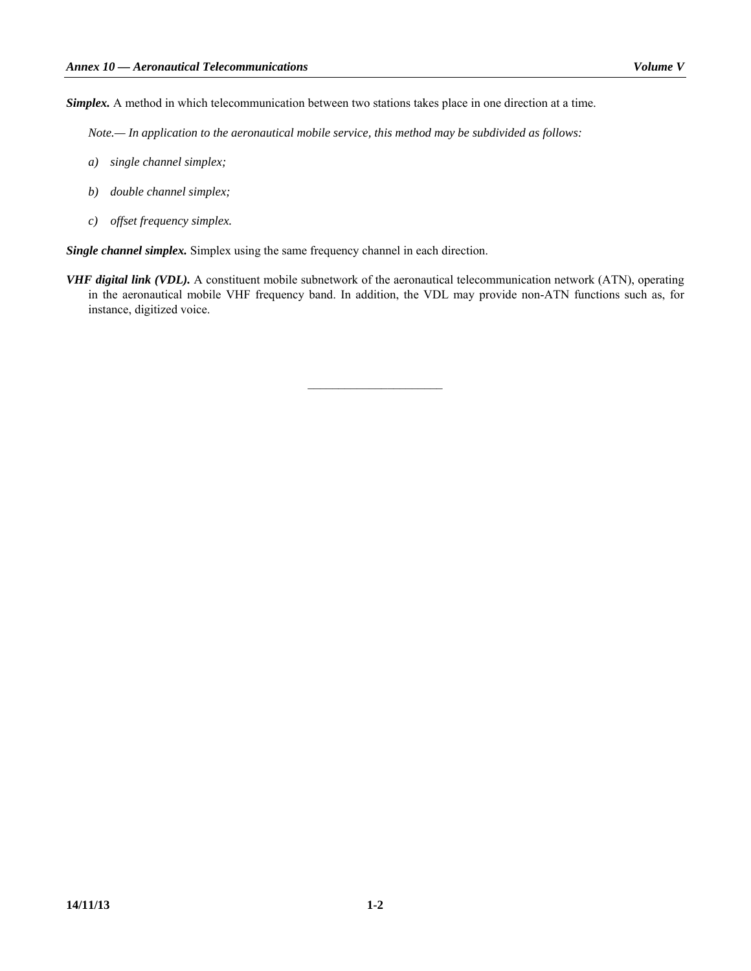*Simplex.* A method in which telecommunication between two stations takes place in one direction at a time.

*Note.— In application to the aeronautical mobile service, this method may be subdivided as follows:*

- *a) single channel simplex;*
- *b) double channel simplex;*
- *c) offset frequency simplex.*

*Single channel simplex.* Simplex using the same frequency channel in each direction.

*VHF digital link (VDL).* A constituent mobile subnetwork of the aeronautical telecommunication network (ATN), operating in the aeronautical mobile VHF frequency band. In addition, the VDL may provide non-ATN functions such as, for instance, digitized voice.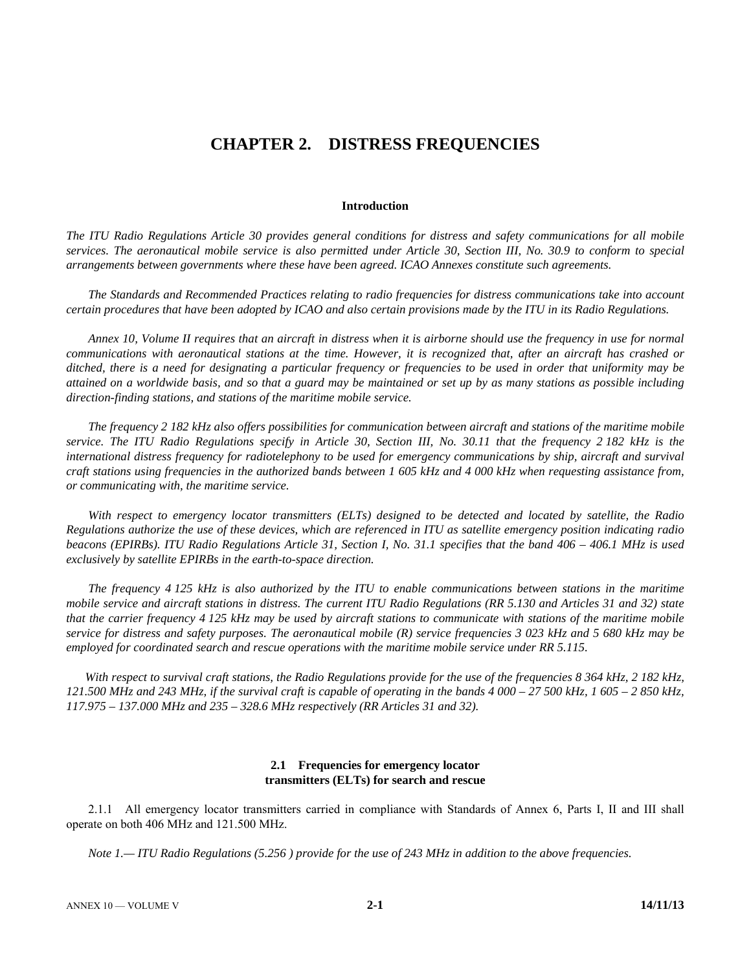# **CHAPTER 2. DISTRESS FREQUENCIES**

#### **Introduction**

*The ITU Radio Regulations Article 30 provides general conditions for distress and safety communications for all mobile services. The aeronautical mobile service is also permitted under Article 30, Section III, No. 30.9 to conform to special arrangements between governments where these have been agreed. ICAO Annexes constitute such agreements.* 

 *The Standards and Recommended Practices relating to radio frequencies for distress communications take into account certain procedures that have been adopted by ICAO and also certain provisions made by the ITU in its Radio Regulations.* 

*Annex 10, Volume II requires that an aircraft in distress when it is airborne should use the frequency in use for normal communications with aeronautical stations at the time. However, it is recognized that, after an aircraft has crashed or ditched, there is a need for designating a particular frequency or frequencies to be used in order that uniformity may be attained on a worldwide basis, and so that a guard may be maintained or set up by as many stations as possible including direction-finding stations, and stations of the maritime mobile service.* 

*The frequency 2 182 kHz also offers possibilities for communication between aircraft and stations of the maritime mobile service. The ITU Radio Regulations specify in Article 30, Section III, No. 30.11 that the frequency 2 182 kHz is the international distress frequency for radiotelephony to be used for emergency communications by ship, aircraft and survival craft stations using frequencies in the authorized bands between 1 605 kHz and 4 000 kHz when requesting assistance from, or communicating with, the maritime service.* 

 *With respect to emergency locator transmitters (ELTs) designed to be detected and located by satellite, the Radio Regulations authorize the use of these devices, which are referenced in ITU as satellite emergency position indicating radio beacons (EPIRBs). ITU Radio Regulations Article 31, Section I, No. 31.1 specifies that the band 406 – 406.1 MHz is used exclusively by satellite EPIRBs in the earth-to-space direction.* 

 *The frequency 4 125 kHz is also authorized by the ITU to enable communications between stations in the maritime mobile service and aircraft stations in distress. The current ITU Radio Regulations (RR 5.130 and Articles 31 and 32) state that the carrier frequency 4 125 kHz may be used by aircraft stations to communicate with stations of the maritime mobile service for distress and safety purposes. The aeronautical mobile (R) service frequencies 3 023 kHz and 5 680 kHz may be employed for coordinated search and rescue operations with the maritime mobile service under RR 5.115.* 

 *With respect to survival craft stations, the Radio Regulations provide for the use of the frequencies 8 364 kHz, 2 182 kHz, 121.500 MHz and 243 MHz, if the survival craft is capable of operating in the bands 4 000 – 27 500 kHz, 1 605 – 2 850 kHz, 117.975 – 137.000 MHz and 235 – 328.6 MHz respectively (RR Articles 31 and 32).* 

### **2.1 Frequencies for emergency locator transmitters (ELTs) for search and rescue**

 2.1.1 All emergency locator transmitters carried in compliance with Standards of Annex 6, Parts I, II and III shall operate on both 406 MHz and 121.500 MHz.

*Note 1.— ITU Radio Regulations (5.256 ) provide for the use of 243 MHz in addition to the above frequencies.*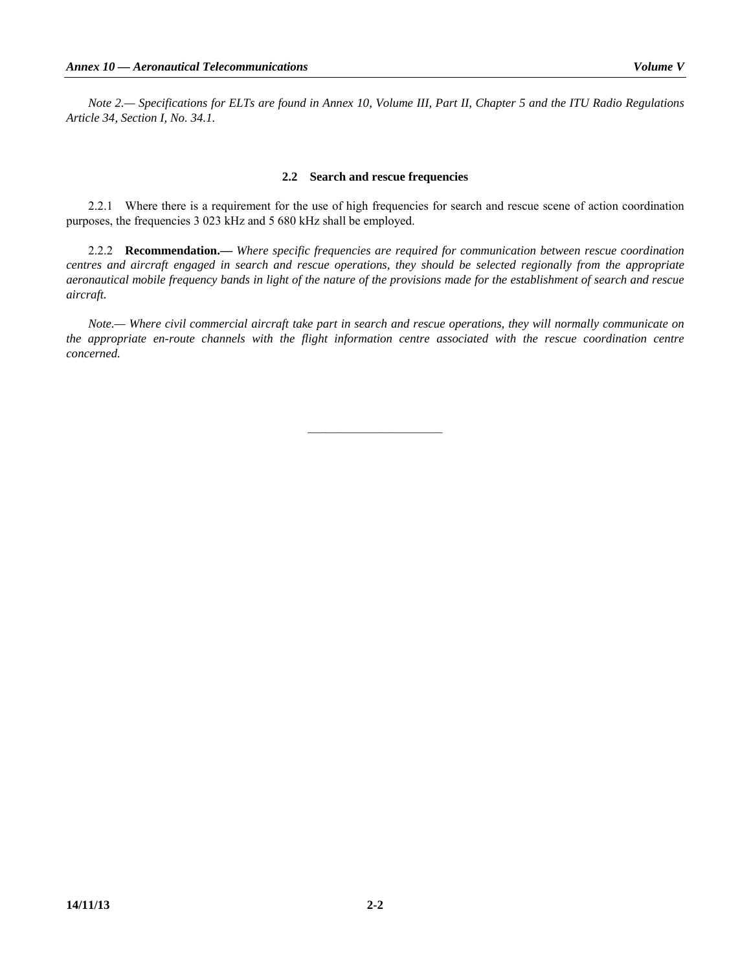### **2.2 Search and rescue frequencies**

 2.2.1 Where there is a requirement for the use of high frequencies for search and rescue scene of action coordination purposes, the frequencies 3 023 kHz and 5 680 kHz shall be employed.

 2.2.2 **Recommendation.—** *Where specific frequencies are required for communication between rescue coordination centres and aircraft engaged in search and rescue operations, they should be selected regionally from the appropriate aeronautical mobile frequency bands in light of the nature of the provisions made for the establishment of search and rescue aircraft.* 

*Note.— Where civil commercial aircraft take part in search and rescue operations, they will normally communicate on the appropriate en-route channels with the flight information centre associated with the rescue coordination centre concerned.*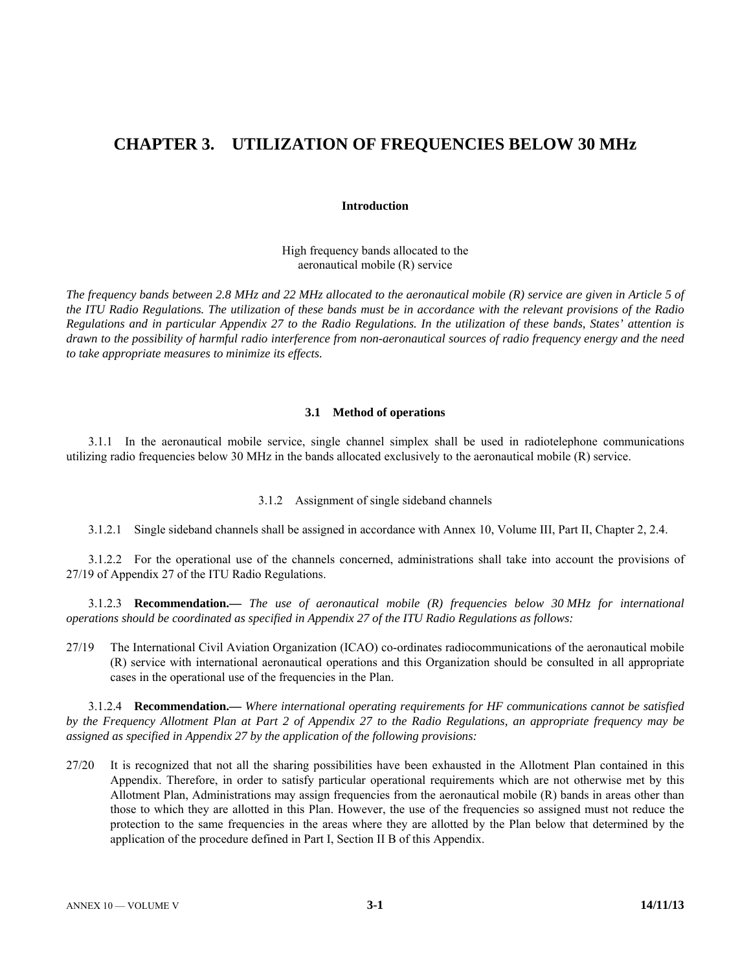# **CHAPTER 3. UTILIZATION OF FREQUENCIES BELOW 30 MHz**

#### **Introduction**

High frequency bands allocated to the aeronautical mobile (R) service

*The frequency bands between 2.8 MHz and 22 MHz allocated to the aeronautical mobile (R) service are given in Article 5 of the ITU Radio Regulations. The utilization of these bands must be in accordance with the relevant provisions of the Radio Regulations and in particular Appendix 27 to the Radio Regulations. In the utilization of these bands, States' attention is drawn to the possibility of harmful radio interference from non-aeronautical sources of radio frequency energy and the need to take appropriate measures to minimize its effects.* 

#### **3.1 Method of operations**

 3.1.1 In the aeronautical mobile service, single channel simplex shall be used in radiotelephone communications utilizing radio frequencies below 30 MHz in the bands allocated exclusively to the aeronautical mobile (R) service.

3.1.2 Assignment of single sideband channels

3.1.2.1 Single sideband channels shall be assigned in accordance with Annex 10, Volume III, Part II, Chapter 2, 2.4.

 3.1.2.2 For the operational use of the channels concerned, administrations shall take into account the provisions of 27/19 of Appendix 27 of the ITU Radio Regulations.

 3.1.2.3 **Recommendation.—** *The use of aeronautical mobile (R) frequencies below 30 MHz for international operations should be coordinated as specified in Appendix 27 of the ITU Radio Regulations as follows:* 

27/19 The International Civil Aviation Organization (ICAO) co-ordinates radiocommunications of the aeronautical mobile (R) service with international aeronautical operations and this Organization should be consulted in all appropriate cases in the operational use of the frequencies in the Plan.

 3.1.2.4 **Recommendation.—** *Where international operating requirements for HF communications cannot be satisfied by the Frequency Allotment Plan at Part 2 of Appendix 27 to the Radio Regulations, an appropriate frequency may be assigned as specified in Appendix 27 by the application of the following provisions:* 

27/20 It is recognized that not all the sharing possibilities have been exhausted in the Allotment Plan contained in this Appendix. Therefore, in order to satisfy particular operational requirements which are not otherwise met by this Allotment Plan, Administrations may assign frequencies from the aeronautical mobile (R) bands in areas other than those to which they are allotted in this Plan. However, the use of the frequencies so assigned must not reduce the protection to the same frequencies in the areas where they are allotted by the Plan below that determined by the application of the procedure defined in Part I, Section II B of this Appendix.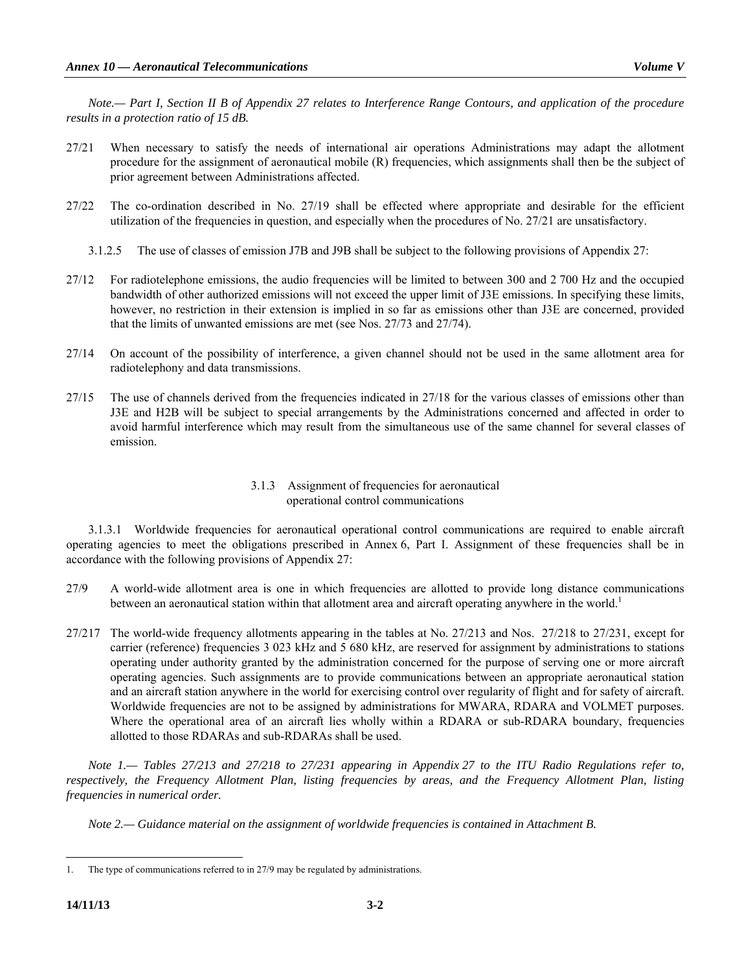*Note.— Part I, Section II B of Appendix 27 relates to Interference Range Contours, and application of the procedure results in a protection ratio of 15 dB.*

- 27/21 When necessary to satisfy the needs of international air operations Administrations may adapt the allotment procedure for the assignment of aeronautical mobile (R) frequencies, which assignments shall then be the subject of prior agreement between Administrations affected.
- 27/22 The co-ordination described in No. 27/19 shall be effected where appropriate and desirable for the efficient utilization of the frequencies in question, and especially when the procedures of No. 27/21 are unsatisfactory.
	- 3.1.2.5 The use of classes of emission J7B and J9B shall be subject to the following provisions of Appendix 27:
- 27/12 For radiotelephone emissions, the audio frequencies will be limited to between 300 and 2 700 Hz and the occupied bandwidth of other authorized emissions will not exceed the upper limit of J3E emissions. In specifying these limits, however, no restriction in their extension is implied in so far as emissions other than J3E are concerned, provided that the limits of unwanted emissions are met (see Nos. 27/73 and 27/74).
- 27/14 On account of the possibility of interference, a given channel should not be used in the same allotment area for radiotelephony and data transmissions.
- 27/15 The use of channels derived from the frequencies indicated in 27/18 for the various classes of emissions other than J3E and H2B will be subject to special arrangements by the Administrations concerned and affected in order to avoid harmful interference which may result from the simultaneous use of the same channel for several classes of emission.

## 3.1.3 Assignment of frequencies for aeronautical operational control communications

 3.1.3.1 Worldwide frequencies for aeronautical operational control communications are required to enable aircraft operating agencies to meet the obligations prescribed in Annex 6, Part I. Assignment of these frequencies shall be in accordance with the following provisions of Appendix 27:

- 27/9 A world-wide allotment area is one in which frequencies are allotted to provide long distance communications between an aeronautical station within that allotment area and aircraft operating anywhere in the world.<sup>1</sup>
- 27/217 The world-wide frequency allotments appearing in the tables at No. 27/213 and Nos. 27/218 to 27/231, except for carrier (reference) frequencies 3 023 kHz and 5 680 kHz, are reserved for assignment by administrations to stations operating under authority granted by the administration concerned for the purpose of serving one or more aircraft operating agencies. Such assignments are to provide communications between an appropriate aeronautical station and an aircraft station anywhere in the world for exercising control over regularity of flight and for safety of aircraft. Worldwide frequencies are not to be assigned by administrations for MWARA, RDARA and VOLMET purposes. Where the operational area of an aircraft lies wholly within a RDARA or sub-RDARA boundary, frequencies allotted to those RDARAs and sub-RDARAs shall be used.

*Note 1.— Tables 27/213 and 27/218 to 27/231 appearing in Appendix 27 to the ITU Radio Regulations refer to, respectively, the Frequency Allotment Plan, listing frequencies by areas, and the Frequency Allotment Plan, listing frequencies in numerical order.* 

 *Note 2.— Guidance material on the assignment of worldwide frequencies is contained in Attachment B.*

 $\overline{a}$ 

<sup>1.</sup> The type of communications referred to in 27/9 may be regulated by administrations.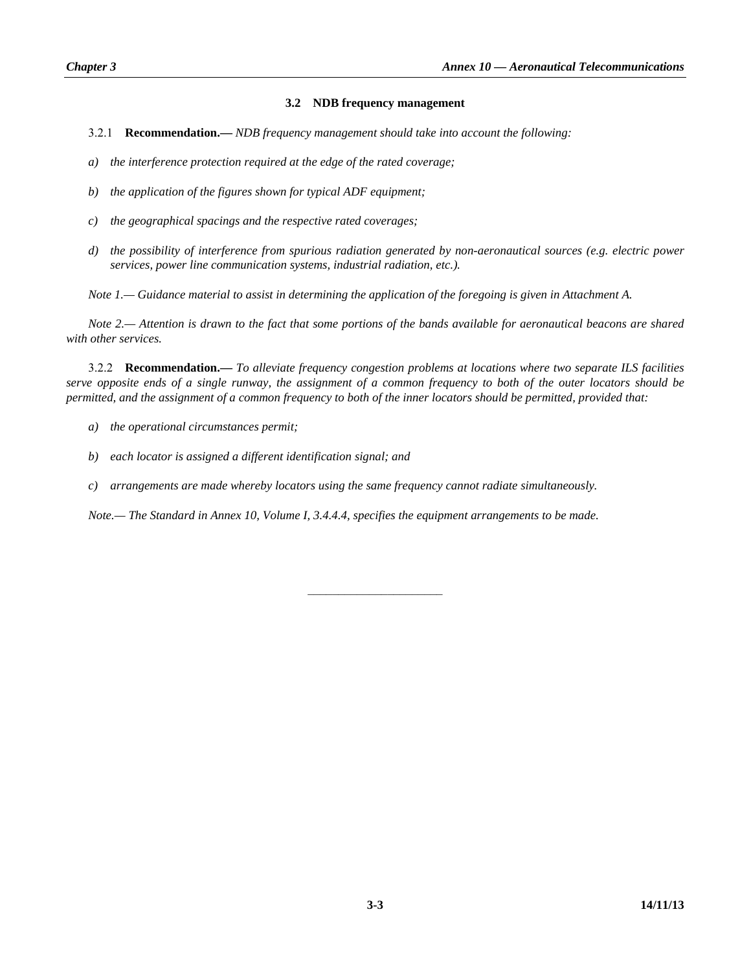## **3.2 NDB frequency management**

- 3.2.1 **Recommendation.—** *NDB frequency management should take into account the following:*
- *a) the interference protection required at the edge of the rated coverage;*
- *b) the application of the figures shown for typical ADF equipment;*
- *c) the geographical spacings and the respective rated coverages;*
- *d) the possibility of interference from spurious radiation generated by non-aeronautical sources (e.g. electric power services, power line communication systems, industrial radiation, etc.).*

*Note 1.— Guidance material to assist in determining the application of the foregoing is given in Attachment A.* 

*Note 2.— Attention is drawn to the fact that some portions of the bands available for aeronautical beacons are shared with other services.* 

 3.2.2 **Recommendation.—** *To alleviate frequency congestion problems at locations where two separate ILS facilities serve opposite ends of a single runway, the assignment of a common frequency to both of the outer locators should be permitted, and the assignment of a common frequency to both of the inner locators should be permitted, provided that:* 

- *a) the operational circumstances permit;*
- *b) each locator is assigned a different identification signal; and*
- *c) arrangements are made whereby locators using the same frequency cannot radiate simultaneously.*

*Note.— The Standard in Annex 10, Volume I, 3.4.4.4, specifies the equipment arrangements to be made.*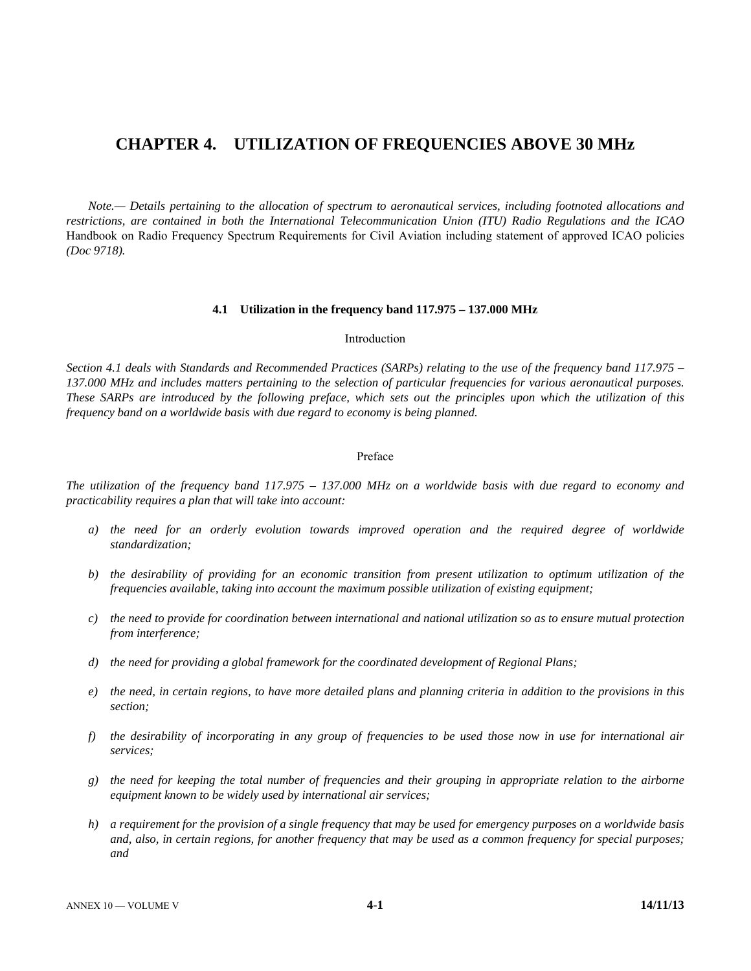# **CHAPTER 4. UTILIZATION OF FREQUENCIES ABOVE 30 MHz**

 *Note.— Details pertaining to the allocation of spectrum to aeronautical services, including footnoted allocations and restrictions, are contained in both the International Telecommunication Union (ITU) Radio Regulations and the ICAO*  Handbook on Radio Frequency Spectrum Requirements for Civil Aviation including statement of approved ICAO policies *(Doc 9718).* 

#### **4.1 Utilization in the frequency band 117.975 – 137.000 MHz**

#### Introduction

*Section 4.1 deals with Standards and Recommended Practices (SARPs) relating to the use of the frequency band 117.975 – 137.000 MHz and includes matters pertaining to the selection of particular frequencies for various aeronautical purposes. These SARPs are introduced by the following preface, which sets out the principles upon which the utilization of this frequency band on a worldwide basis with due regard to economy is being planned.* 

#### Preface

*The utilization of the frequency band 117.975 – 137.000 MHz on a worldwide basis with due regard to economy and practicability requires a plan that will take into account:* 

- *a) the need for an orderly evolution towards improved operation and the required degree of worldwide standardization;*
- *b) the desirability of providing for an economic transition from present utilization to optimum utilization of the frequencies available, taking into account the maximum possible utilization of existing equipment;*
- *c) the need to provide for coordination between international and national utilization so as to ensure mutual protection from interference;*
- *d) the need for providing a global framework for the coordinated development of Regional Plans;*
- *e) the need, in certain regions, to have more detailed plans and planning criteria in addition to the provisions in this section;*
- *f) the desirability of incorporating in any group of frequencies to be used those now in use for international air services;*
- *g) the need for keeping the total number of frequencies and their grouping in appropriate relation to the airborne equipment known to be widely used by international air services;*
- *h) a requirement for the provision of a single frequency that may be used for emergency purposes on a worldwide basis*  and, also, in certain regions, for another frequency that may be used as a common frequency for special purposes; *and*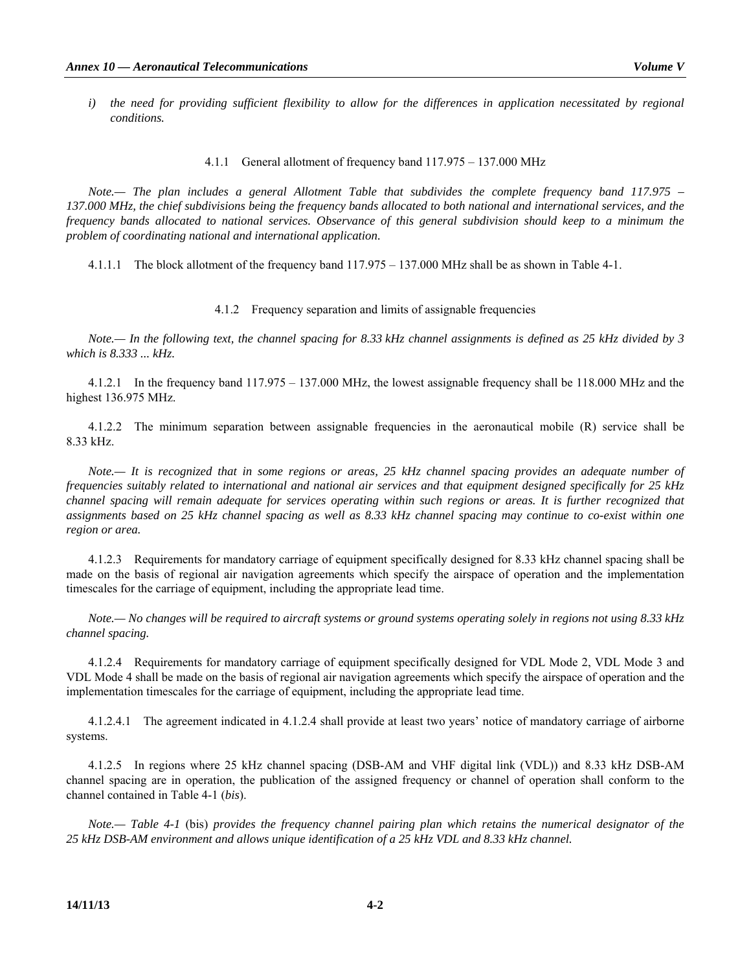4.1.1 General allotment of frequency band 117.975 – 137.000 MHz

*Note.— The plan includes a general Allotment Table that subdivides the complete frequency band 117.975 – 137.000 MHz, the chief subdivisions being the frequency bands allocated to both national and international services, and the frequency bands allocated to national services. Observance of this general subdivision should keep to a minimum the problem of coordinating national and international application.* 

4.1.1.1 The block allotment of the frequency band 117.975 – 137.000 MHz shall be as shown in Table 4-1.

#### 4.1.2 Frequency separation and limits of assignable frequencies

*Note.— In the following text, the channel spacing for 8.33 kHz channel assignments is defined as 25 kHz divided by 3 which is 8.333 ... kHz.*

 4.1.2.1 In the frequency band 117.975 – 137.000 MHz, the lowest assignable frequency shall be 118.000 MHz and the highest 136.975 MHz.

 4.1.2.2 The minimum separation between assignable frequencies in the aeronautical mobile (R) service shall be 8.33 kHz.

*Note.— It is recognized that in some regions or areas, 25 kHz channel spacing provides an adequate number of frequencies suitably related to international and national air services and that equipment designed specifically for 25 kHz channel spacing will remain adequate for services operating within such regions or areas. It is further recognized that assignments based on 25 kHz channel spacing as well as 8.33 kHz channel spacing may continue to co-exist within one region or area.* 

 4.1.2.3 Requirements for mandatory carriage of equipment specifically designed for 8.33 kHz channel spacing shall be made on the basis of regional air navigation agreements which specify the airspace of operation and the implementation timescales for the carriage of equipment, including the appropriate lead time.

 *Note.— No changes will be required to aircraft systems or ground systems operating solely in regions not using 8.33 kHz channel spacing.* 

 4.1.2.4 Requirements for mandatory carriage of equipment specifically designed for VDL Mode 2, VDL Mode 3 and VDL Mode 4 shall be made on the basis of regional air navigation agreements which specify the airspace of operation and the implementation timescales for the carriage of equipment, including the appropriate lead time.

 4.1.2.4.1 The agreement indicated in 4.1.2.4 shall provide at least two years' notice of mandatory carriage of airborne systems.

 4.1.2.5 In regions where 25 kHz channel spacing (DSB-AM and VHF digital link (VDL)) and 8.33 kHz DSB-AM channel spacing are in operation, the publication of the assigned frequency or channel of operation shall conform to the channel contained in Table 4-1 (*bis*).

*Note.— Table 4-1* (bis) *provides the frequency channel pairing plan which retains the numerical designator of the 25 kHz DSB-AM environment and allows unique identification of a 25 kHz VDL and 8.33 kHz channel.*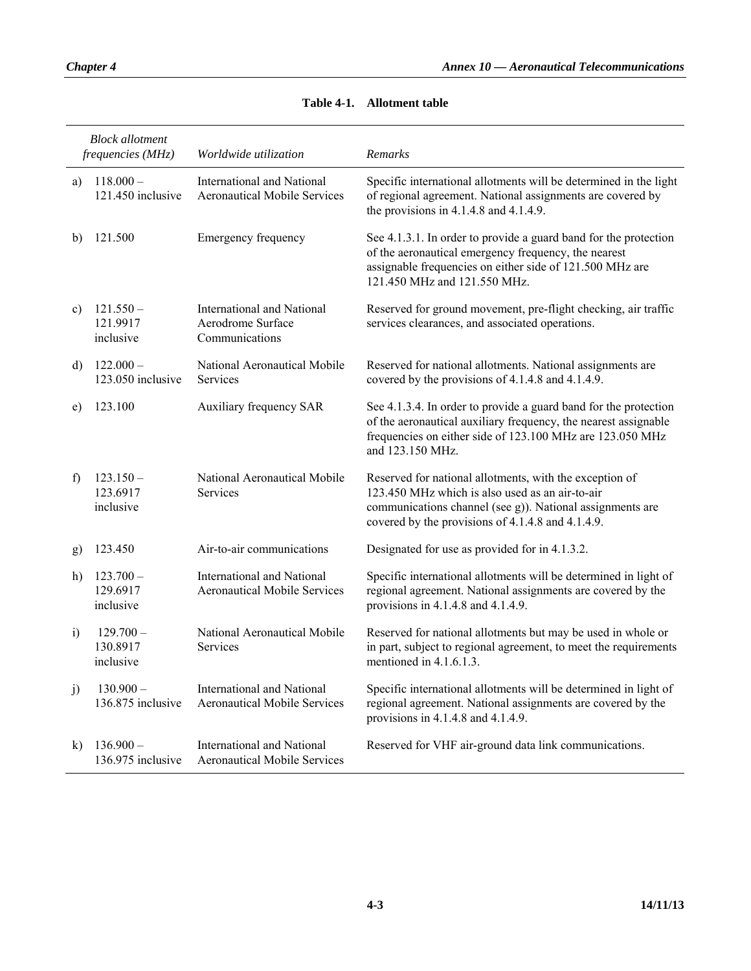|            | <b>Block</b> allotment<br>frequencies (MHz) | Worldwide utilization                                                    | Remarks                                                                                                                                                                                                                      |
|------------|---------------------------------------------|--------------------------------------------------------------------------|------------------------------------------------------------------------------------------------------------------------------------------------------------------------------------------------------------------------------|
| a)         | $118.000 -$<br>121.450 inclusive            | <b>International and National</b><br><b>Aeronautical Mobile Services</b> | Specific international allotments will be determined in the light<br>of regional agreement. National assignments are covered by<br>the provisions in $4.1.4.8$ and $4.1.4.9$ .                                               |
| b)         | 121.500                                     | Emergency frequency                                                      | See 4.1.3.1. In order to provide a guard band for the protection<br>of the aeronautical emergency frequency, the nearest<br>assignable frequencies on either side of 121.500 MHz are<br>121.450 MHz and 121.550 MHz.         |
| c)         | $121.550 -$<br>121.9917<br>inclusive        | International and National<br>Aerodrome Surface<br>Communications        | Reserved for ground movement, pre-flight checking, air traffic<br>services clearances, and associated operations.                                                                                                            |
| d)         | $122.000 -$<br>123.050 inclusive            | National Aeronautical Mobile<br><b>Services</b>                          | Reserved for national allotments. National assignments are<br>covered by the provisions of 4.1.4.8 and 4.1.4.9.                                                                                                              |
| e)         | 123.100                                     | Auxiliary frequency SAR                                                  | See 4.1.3.4. In order to provide a guard band for the protection<br>of the aeronautical auxiliary frequency, the nearest assignable<br>frequencies on either side of 123.100 MHz are 123.050 MHz<br>and 123.150 MHz.         |
| f          | $123.150 -$<br>123.6917<br>inclusive        | National Aeronautical Mobile<br>Services                                 | Reserved for national allotments, with the exception of<br>123.450 MHz which is also used as an air-to-air<br>communications channel (see g)). National assignments are<br>covered by the provisions of 4.1.4.8 and 4.1.4.9. |
| g)         | 123.450                                     | Air-to-air communications                                                | Designated for use as provided for in 4.1.3.2.                                                                                                                                                                               |
| h)         | $123.700 -$<br>129.6917<br>inclusive        | <b>International and National</b><br><b>Aeronautical Mobile Services</b> | Specific international allotments will be determined in light of<br>regional agreement. National assignments are covered by the<br>provisions in $4.1.4.8$ and $4.1.4.9$ .                                                   |
| $\ddot{1}$ | $129.700 -$<br>130.8917<br>inclusive        | National Aeronautical Mobile<br><b>Services</b>                          | Reserved for national allotments but may be used in whole or<br>in part, subject to regional agreement, to meet the requirements<br>mentioned in 4.1.6.1.3.                                                                  |
| j)         | $130.900 -$<br>136.875 inclusive            | <b>International and National</b><br><b>Aeronautical Mobile Services</b> | Specific international allotments will be determined in light of<br>regional agreement. National assignments are covered by the<br>provisions in $4.1.4.8$ and $4.1.4.9$ .                                                   |
| $\bf k$    | $136.900 -$<br>136.975 inclusive            | <b>International and National</b><br><b>Aeronautical Mobile Services</b> | Reserved for VHF air-ground data link communications.                                                                                                                                                                        |

# **Table 4-1. Allotment table**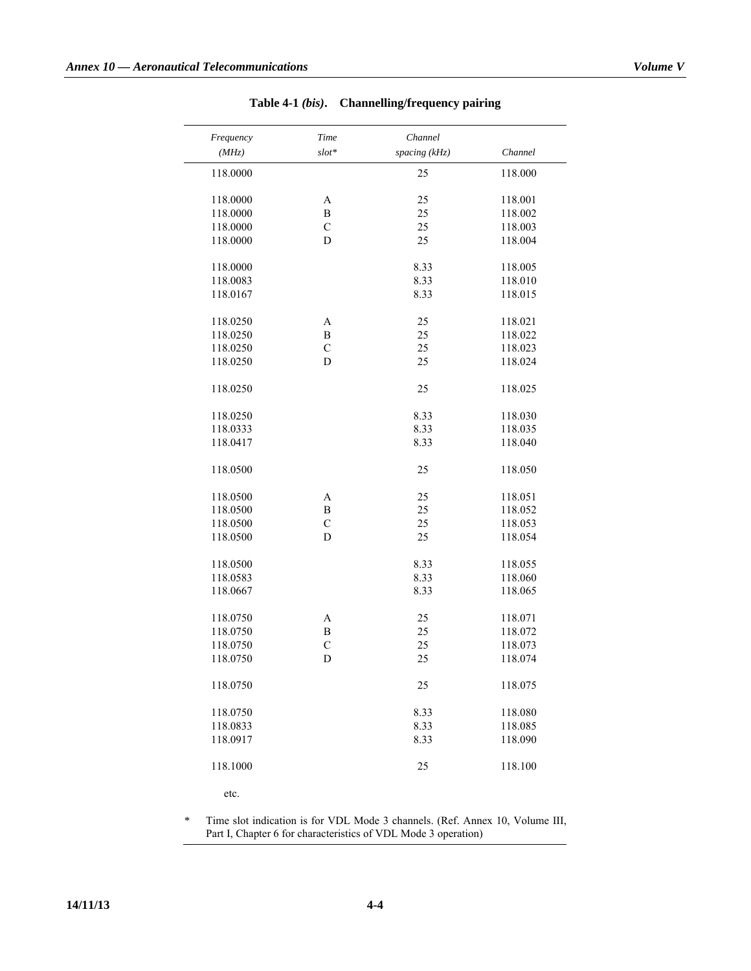| the control of the con- |  |  |
|-------------------------|--|--|
|                         |  |  |
|                         |  |  |
|                         |  |  |
|                         |  |  |
|                         |  |  |
|                         |  |  |
|                         |  |  |
|                         |  |  |
|                         |  |  |
|                         |  |  |

| Table 4-1 $(bis)$ . | <b>Channelling/frequency pairing</b> |  |
|---------------------|--------------------------------------|--|
|                     |                                      |  |

| Frequency | Time        | Channel       |         |
|-----------|-------------|---------------|---------|
| (MHz)     | $slot*$     | spacing (kHz) | Channel |
| 118.0000  |             | 25            | 118.000 |
| 118.0000  | A           | 25            | 118.001 |
| 118.0000  | B           | 25            | 118.002 |
| 118.0000  | $\mathbf C$ | 25            | 118.003 |
| 118.0000  | D           | 25            | 118.004 |
| 118.0000  |             | 8.33          | 118.005 |
| 118.0083  |             | 8.33          | 118.010 |
| 118.0167  |             | 8.33          | 118.015 |
| 118.0250  | A           | 25            | 118.021 |
| 118.0250  | B           | 25            | 118.022 |
| 118.0250  | $\mathbf C$ | 25            | 118.023 |
| 118.0250  | D           | 25            | 118.024 |
| 118.0250  |             | 25            | 118.025 |
| 118.0250  |             | 8.33          | 118.030 |
| 118.0333  |             | 8.33          | 118.035 |
| 118.0417  |             | 8.33          | 118.040 |
| 118.0500  |             | 25            | 118.050 |
| 118.0500  | A           | 25            | 118.051 |
| 118.0500  | B           | 25            | 118.052 |
| 118.0500  | $\mathbf C$ | 25            | 118.053 |
| 118.0500  | D           | 25            | 118.054 |
| 118.0500  |             | 8.33          | 118.055 |
| 118.0583  |             | 8.33          | 118.060 |
| 118.0667  |             | 8.33          | 118.065 |
| 118.0750  | A           | 25            | 118.071 |
| 118.0750  | B           | 25            | 118.072 |
| 118.0750  | $\mathbf C$ | 25            | 118.073 |
| 118.0750  | D           | 25            | 118.074 |
| 118.0750  |             | 25            | 118.075 |
| 118.0750  |             | 8.33          | 118.080 |
| 118.0833  |             | 8.33          | 118.085 |
| 118.0917  |             | 8.33          | 118.090 |
| 118.1000  |             | 25            | 118.100 |
| etc.      |             |               |         |

*\** Time slot indication is for VDL Mode 3 channels. (Ref. Annex 10, Volume III, Part I, Chapter 6 for characteristics of VDL Mode 3 operation)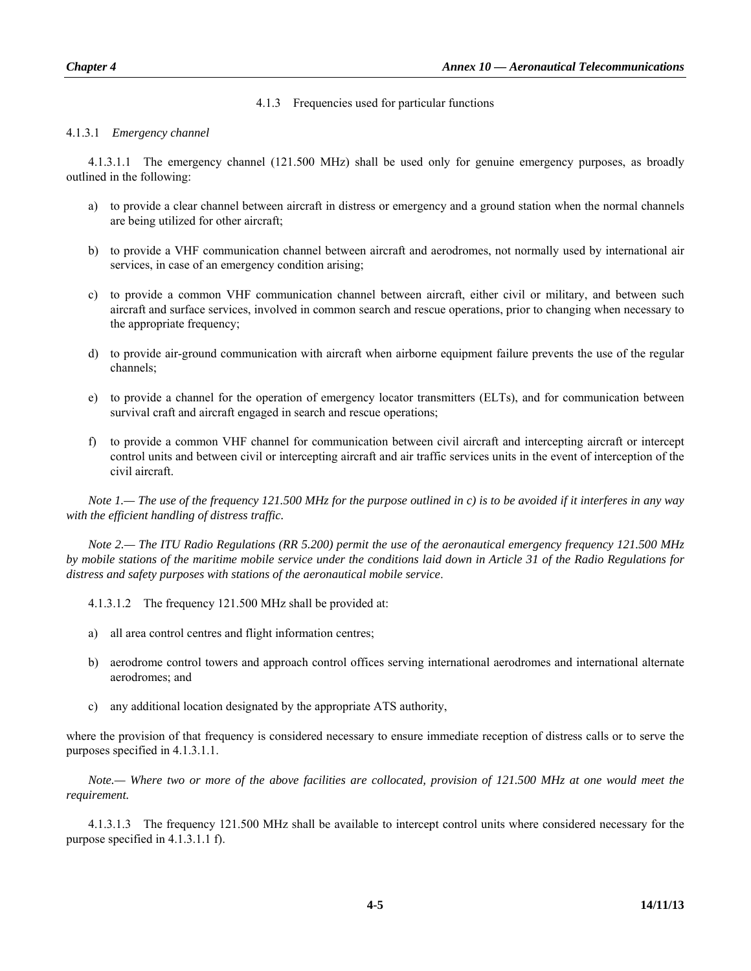## 4.1.3 Frequencies used for particular functions

## 4.1.3.1 *Emergency channel*

 4.1.3.1.1 The emergency channel (121.500 MHz) shall be used only for genuine emergency purposes, as broadly outlined in the following:

- a) to provide a clear channel between aircraft in distress or emergency and a ground station when the normal channels are being utilized for other aircraft;
- b) to provide a VHF communication channel between aircraft and aerodromes, not normally used by international air services, in case of an emergency condition arising;
- c) to provide a common VHF communication channel between aircraft, either civil or military, and between such aircraft and surface services, involved in common search and rescue operations, prior to changing when necessary to the appropriate frequency;
- d) to provide air-ground communication with aircraft when airborne equipment failure prevents the use of the regular channels;
- e) to provide a channel for the operation of emergency locator transmitters (ELTs), and for communication between survival craft and aircraft engaged in search and rescue operations;
- f) to provide a common VHF channel for communication between civil aircraft and intercepting aircraft or intercept control units and between civil or intercepting aircraft and air traffic services units in the event of interception of the civil aircraft.

*Note 1.— The use of the frequency 121.500 MHz for the purpose outlined in c) is to be avoided if it interferes in any way with the efficient handling of distress traffic.* 

*Note 2.— The ITU Radio Regulations (RR 5.200) permit the use of the aeronautical emergency frequency 121.500 MHz by mobile stations of the maritime mobile service under the conditions laid down in Article 31 of the Radio Regulations for distress and safety purposes with stations of the aeronautical mobile service*.

4.1.3.1.2 The frequency 121.500 MHz shall be provided at:

- a) all area control centres and flight information centres;
- b) aerodrome control towers and approach control offices serving international aerodromes and international alternate aerodromes; and
- c) any additional location designated by the appropriate ATS authority,

where the provision of that frequency is considered necessary to ensure immediate reception of distress calls or to serve the purposes specified in 4.1.3.1.1.

*Note.— Where two or more of the above facilities are collocated, provision of 121.500 MHz at one would meet the requirement.* 

 4.1.3.1.3 The frequency 121.500 MHz shall be available to intercept control units where considered necessary for the purpose specified in 4.1.3.1.1 f).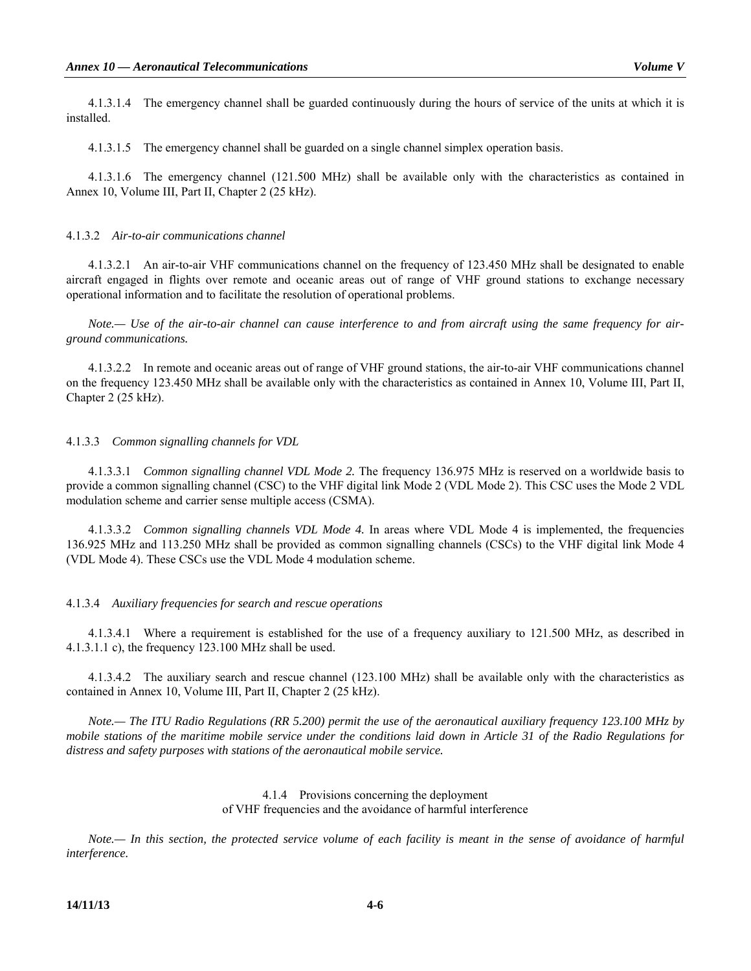4.1.3.1.4 The emergency channel shall be guarded continuously during the hours of service of the units at which it is installed.

4.1.3.1.5 The emergency channel shall be guarded on a single channel simplex operation basis.

 4.1.3.1.6 The emergency channel (121.500 MHz) shall be available only with the characteristics as contained in Annex 10, Volume III, Part II, Chapter 2 (25 kHz).

#### 4.1.3.2 *Air-to-air communications channel*

 4.1.3.2.1 An air-to-air VHF communications channel on the frequency of 123.450 MHz shall be designated to enable aircraft engaged in flights over remote and oceanic areas out of range of VHF ground stations to exchange necessary operational information and to facilitate the resolution of operational problems.

 *Note.— Use of the air-to-air channel can cause interference to and from aircraft using the same frequency for airground communications.* 

 4.1.3.2.2 In remote and oceanic areas out of range of VHF ground stations, the air-to-air VHF communications channel on the frequency 123.450 MHz shall be available only with the characteristics as contained in Annex 10, Volume III, Part II, Chapter 2 (25 kHz).

#### 4.1.3.3 *Common signalling channels for VDL*

 4.1.3.3.1 *Common signalling channel VDL Mode 2.* The frequency 136.975 MHz is reserved on a worldwide basis to provide a common signalling channel (CSC) to the VHF digital link Mode 2 (VDL Mode 2). This CSC uses the Mode 2 VDL modulation scheme and carrier sense multiple access (CSMA).

 4.1.3.3.2 *Common signalling channels VDL Mode 4.* In areas where VDL Mode 4 is implemented, the frequencies 136.925 MHz and 113.250 MHz shall be provided as common signalling channels (CSCs) to the VHF digital link Mode 4 (VDL Mode 4). These CSCs use the VDL Mode 4 modulation scheme.

#### 4.1.3.4 *Auxiliary frequencies for search and rescue operations*

 4.1.3.4.1 Where a requirement is established for the use of a frequency auxiliary to 121.500 MHz, as described in 4.1.3.1.1 c), the frequency 123.100 MHz shall be used.

 4.1.3.4.2 The auxiliary search and rescue channel (123.100 MHz) shall be available only with the characteristics as contained in Annex 10, Volume III, Part II, Chapter 2 (25 kHz).

 *Note.— The ITU Radio Regulations (RR 5.200) permit the use of the aeronautical auxiliary frequency 123.100 MHz by mobile stations of the maritime mobile service under the conditions laid down in Article 31 of the Radio Regulations for distress and safety purposes with stations of the aeronautical mobile service.* 

## 4.1.4 Provisions concerning the deployment of VHF frequencies and the avoidance of harmful interference

*Note.— In this section, the protected service volume of each facility is meant in the sense of avoidance of harmful interference.*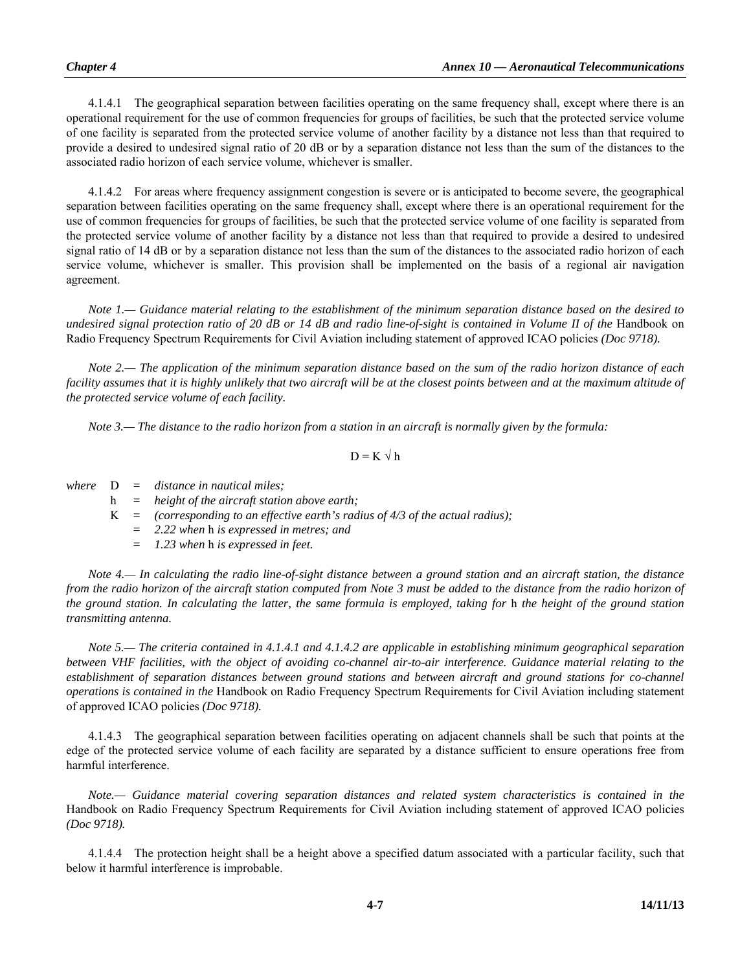4.1.4.1 The geographical separation between facilities operating on the same frequency shall, except where there is an operational requirement for the use of common frequencies for groups of facilities, be such that the protected service volume of one facility is separated from the protected service volume of another facility by a distance not less than that required to provide a desired to undesired signal ratio of 20 dB or by a separation distance not less than the sum of the distances to the associated radio horizon of each service volume, whichever is smaller.

 4.1.4.2 For areas where frequency assignment congestion is severe or is anticipated to become severe, the geographical separation between facilities operating on the same frequency shall, except where there is an operational requirement for the use of common frequencies for groups of facilities, be such that the protected service volume of one facility is separated from the protected service volume of another facility by a distance not less than that required to provide a desired to undesired signal ratio of 14 dB or by a separation distance not less than the sum of the distances to the associated radio horizon of each service volume, whichever is smaller. This provision shall be implemented on the basis of a regional air navigation agreement.

*Note 1.— Guidance material relating to the establishment of the minimum separation distance based on the desired to undesired signal protection ratio of 20 dB or 14 dB and radio line-of-sight is contained in Volume II of the Handbook on* Radio Frequency Spectrum Requirements for Civil Aviation including statement of approved ICAO policies *(Doc 9718).* 

*Note 2.— The application of the minimum separation distance based on the sum of the radio horizon distance of each*  facility assumes that it is highly unlikely that two aircraft will be at the closest points between and at the maximum altitude of *the protected service volume of each facility.*

*Note 3.— The distance to the radio horizon from a station in an aircraft is normally given by the formula:* 

$$
D = K \sqrt{h}
$$

*where* D *= distance in nautical miles;* 

- h *= height of the aircraft station above earth;*
- $K =$  (corresponding to an effective earth's radius of 4/3 of the actual radius);
	- *= 2.22 when* h *is expressed in metres; and*
	- *= 1.23 when* h *is expressed in feet.*

*Note 4.— In calculating the radio line-of-sight distance between a ground station and an aircraft station, the distance from the radio horizon of the aircraft station computed from Note 3 must be added to the distance from the radio horizon of the ground station. In calculating the latter, the same formula is employed, taking for* h *the height of the ground station transmitting antenna.* 

*Note 5.— The criteria contained in 4.1.4.1 and 4.1.4.2 are applicable in establishing minimum geographical separation between VHF facilities, with the object of avoiding co-channel air-to-air interference. Guidance material relating to the*  establishment of separation distances between ground stations and between aircraft and ground stations for co-channel *operations is contained in the* Handbook on Radio Frequency Spectrum Requirements for Civil Aviation including statement of approved ICAO policies *(Doc 9718).*

 4.1.4.3 The geographical separation between facilities operating on adjacent channels shall be such that points at the edge of the protected service volume of each facility are separated by a distance sufficient to ensure operations free from harmful interference.

*Note.— Guidance material covering separation distances and related system characteristics is contained in the*  Handbook on Radio Frequency Spectrum Requirements for Civil Aviation including statement of approved ICAO policies *(Doc 9718).*

 4.1.4.4 The protection height shall be a height above a specified datum associated with a particular facility, such that below it harmful interference is improbable.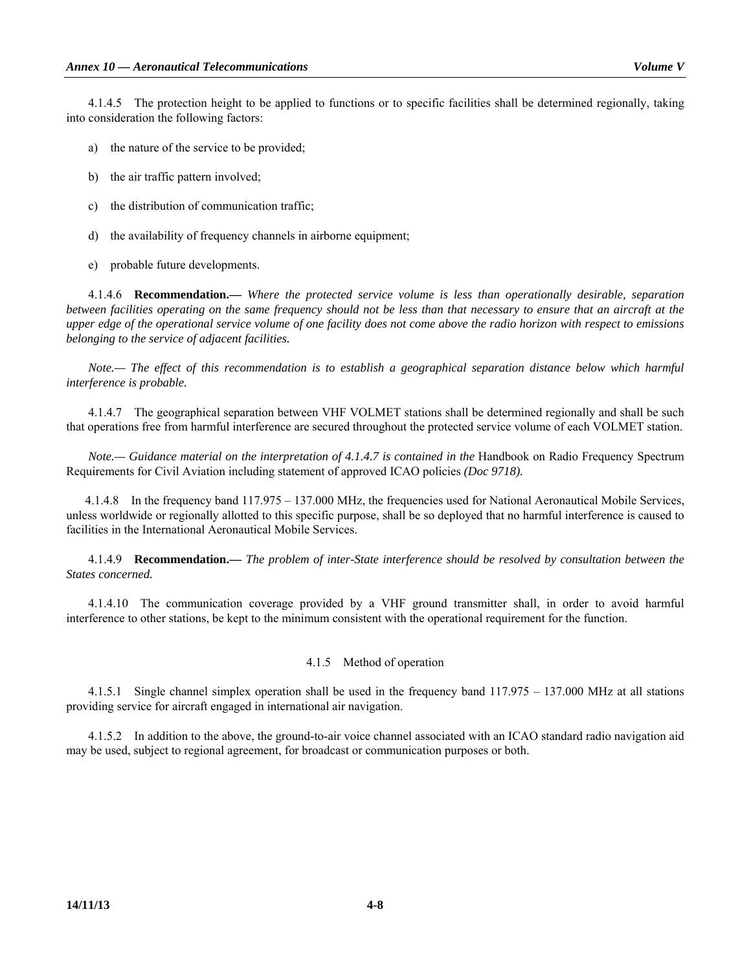4.1.4.5 The protection height to be applied to functions or to specific facilities shall be determined regionally, taking into consideration the following factors:

- a) the nature of the service to be provided;
- b) the air traffic pattern involved;
- c) the distribution of communication traffic;
- d) the availability of frequency channels in airborne equipment;
- e) probable future developments.

 4.1.4.6 **Recommendation.—** *Where the protected service volume is less than operationally desirable, separation between facilities operating on the same frequency should not be less than that necessary to ensure that an aircraft at the upper edge of the operational service volume of one facility does not come above the radio horizon with respect to emissions belonging to the service of adjacent facilities.* 

*Note.— The effect of this recommendation is to establish a geographical separation distance below which harmful interference is probable.*

 4.1.4.7 The geographical separation between VHF VOLMET stations shall be determined regionally and shall be such that operations free from harmful interference are secured throughout the protected service volume of each VOLMET station.

*Note.*— Guidance material on the interpretation of 4.1.4.7 is contained in the Handbook on Radio Frequency Spectrum Requirements for Civil Aviation including statement of approved ICAO policies *(Doc 9718).* 

 4.1.4.8 In the frequency band 117.975 – 137.000 MHz, the frequencies used for National Aeronautical Mobile Services, unless worldwide or regionally allotted to this specific purpose, shall be so deployed that no harmful interference is caused to facilities in the International Aeronautical Mobile Services.

 4.1.4.9 **Recommendation.—** *The problem of inter-State interference should be resolved by consultation between the States concerned.* 

 4.1.4.10 The communication coverage provided by a VHF ground transmitter shall, in order to avoid harmful interference to other stations, be kept to the minimum consistent with the operational requirement for the function.

### 4.1.5 Method of operation

 4.1.5.1 Single channel simplex operation shall be used in the frequency band 117.975 – 137.000 MHz at all stations providing service for aircraft engaged in international air navigation.

 4.1.5.2 In addition to the above, the ground-to-air voice channel associated with an ICAO standard radio navigation aid may be used, subject to regional agreement, for broadcast or communication purposes or both.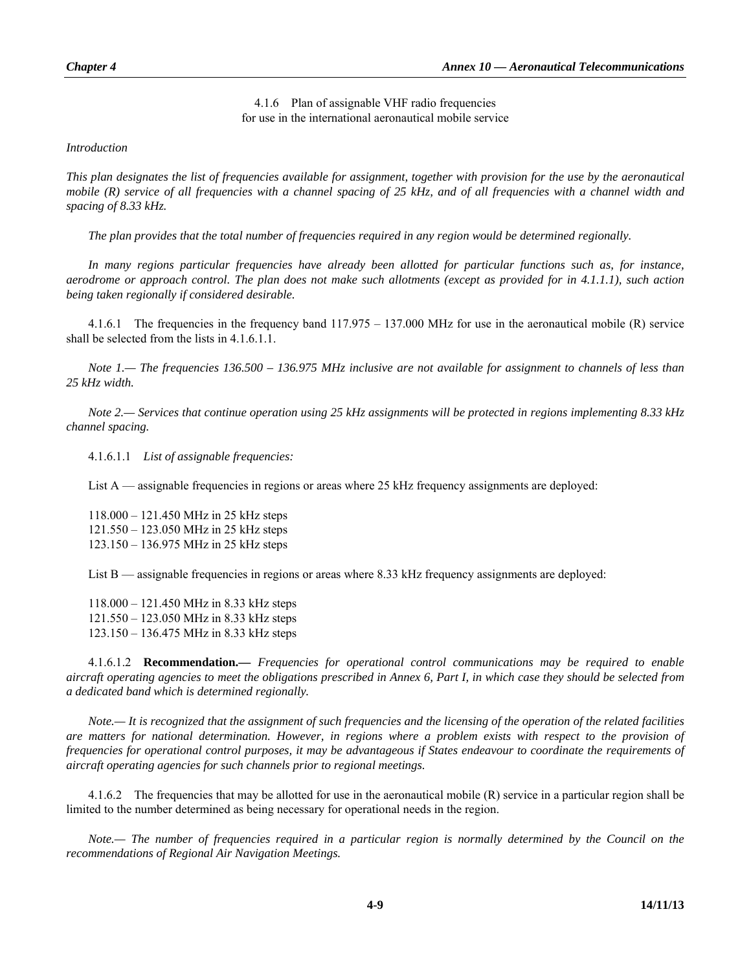4.1.6 Plan of assignable VHF radio frequencies for use in the international aeronautical mobile service

*Introduction* 

*This plan designates the list of frequencies available for assignment, together with provision for the use by the aeronautical mobile (R) service of all frequencies with a channel spacing of 25 kHz, and of all frequencies with a channel width and spacing of 8.33 kHz.* 

*The plan provides that the total number of frequencies required in any region would be determined regionally.* 

In many regions particular frequencies have already been allotted for particular functions such as, for instance, *aerodrome or approach control. The plan does not make such allotments (except as provided for in 4.1.1.1), such action being taken regionally if considered desirable.*

 4.1.6.1 The frequencies in the frequency band 117.975 – 137.000 MHz for use in the aeronautical mobile (R) service shall be selected from the lists in 4.1.6.1.1.

*Note 1.— The frequencies 136.500 – 136.975 MHz inclusive are not available for assignment to channels of less than 25 kHz width.* 

*Note 2.— Services that continue operation using 25 kHz assignments will be protected in regions implementing 8.33 kHz channel spacing.*

4.1.6.1.1 *List of assignable frequencies:*

List A — assignable frequencies in regions or areas where 25 kHz frequency assignments are deployed:

 118.000 – 121.450 MHz in 25 kHz steps 121.550 – 123.050 MHz in 25 kHz steps 123.150 – 136.975 MHz in 25 kHz steps

List B — assignable frequencies in regions or areas where 8.33 kHz frequency assignments are deployed:

 118.000 – 121.450 MHz in 8.33 kHz steps 121.550 – 123.050 MHz in 8.33 kHz steps 123.150 – 136.475 MHz in 8.33 kHz steps

 4.1.6.1.2 **Recommendation.—** *Frequencies for operational control communications may be required to enable aircraft operating agencies to meet the obligations prescribed in Annex 6, Part I, in which case they should be selected from a dedicated band which is determined regionally.* 

*Note.— It is recognized that the assignment of such frequencies and the licensing of the operation of the related facilities are matters for national determination. However, in regions where a problem exists with respect to the provision of frequencies for operational control purposes, it may be advantageous if States endeavour to coordinate the requirements of aircraft operating agencies for such channels prior to regional meetings.* 

 4.1.6.2 The frequencies that may be allotted for use in the aeronautical mobile (R) service in a particular region shall be limited to the number determined as being necessary for operational needs in the region.

*Note.— The number of frequencies required in a particular region is normally determined by the Council on the recommendations of Regional Air Navigation Meetings.*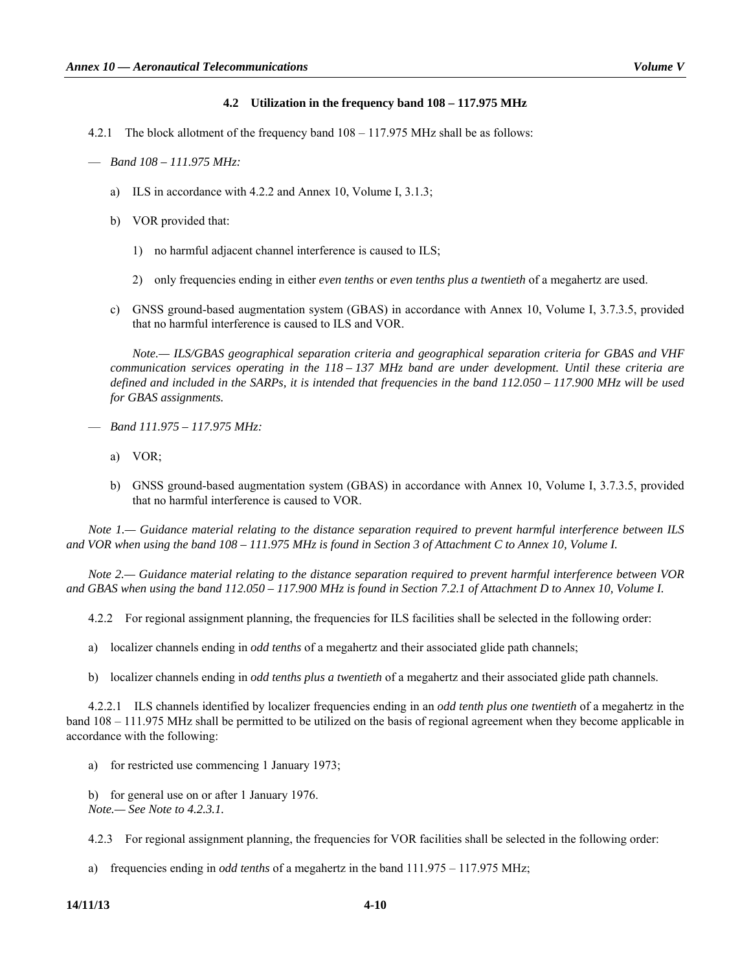## **4.2 Utilization in the frequency band 108 – 117.975 MHz**

4.2.1 The block allotment of the frequency band 108 – 117.975 MHz shall be as follows:

- a) ILS in accordance with 4.2.2 and Annex 10, Volume I, 3.1.3;
- b) VOR provided that:
	- 1) no harmful adjacent channel interference is caused to ILS;
	- 2) only frequencies ending in either *even tenths* or *even tenths plus a twentieth* of a megahertz are used.
- c) GNSS ground-based augmentation system (GBAS) in accordance with Annex 10, Volume I, 3.7.3.5, provided that no harmful interference is caused to ILS and VOR.

 *Note.— ILS/GBAS geographical separation criteria and geographical separation criteria for GBAS and VHF communication services operating in the 118 – 137 MHz band are under development. Until these criteria are defined and included in the SARPs, it is intended that frequencies in the band 112.050 – 117.900 MHz will be used for GBAS assignments.* 

- *Band 111.975 117.975 MHz:* 
	- a) VOR;
	- b) GNSS ground-based augmentation system (GBAS) in accordance with Annex 10, Volume I, 3.7.3.5, provided that no harmful interference is caused to VOR.

*Note 1.— Guidance material relating to the distance separation required to prevent harmful interference between ILS*  and VOR when using the band 108 – 111.975 MHz is found in Section 3 of Attachment C to Annex 10, Volume I.

*Note 2.— Guidance material relating to the distance separation required to prevent harmful interference between VOR*  and GBAS when using the band 112.050 – 117.900 MHz is found in Section 7.2.1 of Attachment D to Annex 10, Volume I.

4.2.2 For regional assignment planning, the frequencies for ILS facilities shall be selected in the following order:

a) localizer channels ending in *odd tenths* of a megahertz and their associated glide path channels;

b) localizer channels ending in *odd tenths plus a twentieth* of a megahertz and their associated glide path channels.

 4.2.2.1 ILS channels identified by localizer frequencies ending in an *odd tenth plus one twentieth* of a megahertz in the band 108 – 111.975 MHz shall be permitted to be utilized on the basis of regional agreement when they become applicable in accordance with the following:

a) for restricted use commencing 1 January 1973;

 b) for general use on or after 1 January 1976. *Note.— See Note to 4.2.3.1.* 

4.2.3 For regional assignment planning, the frequencies for VOR facilities shall be selected in the following order:

a) frequencies ending in *odd tenths* of a megahertz in the band 111.975 – 117.975 MHz;

 <sup>—</sup> *Band 108 – 111.975 MHz:*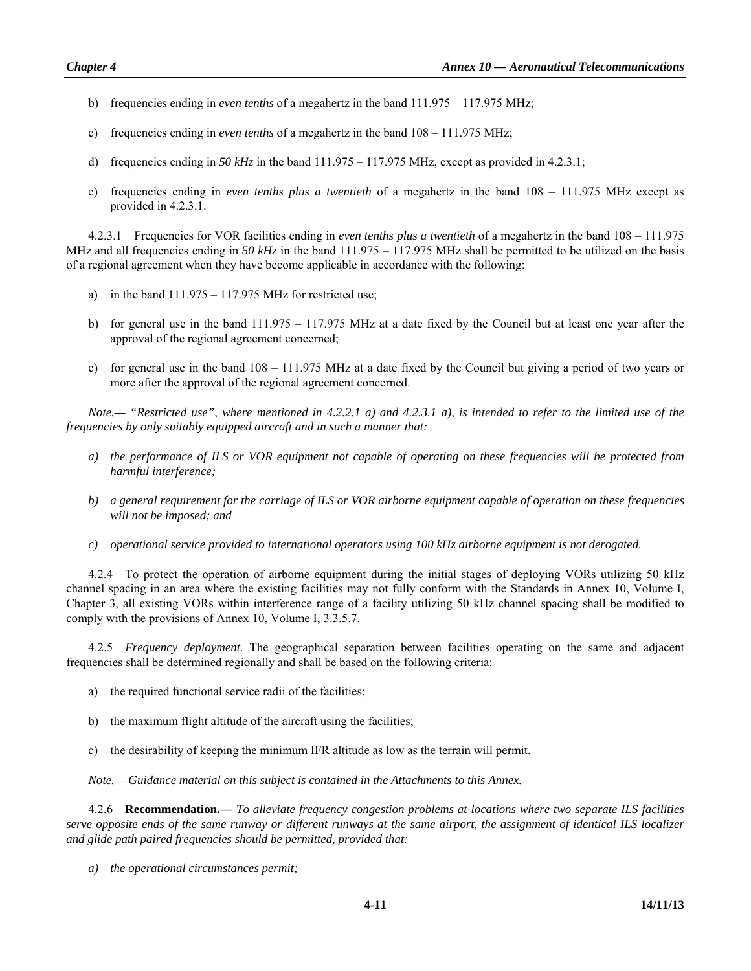- b) frequencies ending in *even tenths* of a megahertz in the band 111.975 117.975 MHz;
- c) frequencies ending in *even tenths* of a megahertz in the band 108 111.975 MHz;
- d) frequencies ending in *50 kHz* in the band 111.975 117.975 MHz, except as provided in 4.2.3.1;
- e) frequencies ending in *even tenths plus a twentieth* of a megahertz in the band 108 111.975 MHz except as provided in 4.2.3.1.

 4.2.3.1 Frequencies for VOR facilities ending in *even tenths plus a twentieth* of a megahertz in the band 108 – 111.975 MHz and all frequencies ending in 50 kHz in the band 111.975 – 117.975 MHz shall be permitted to be utilized on the basis of a regional agreement when they have become applicable in accordance with the following:

- a) in the band  $111.975 117.975$  MHz for restricted use;
- b) for general use in the band 111.975 117.975 MHz at a date fixed by the Council but at least one year after the approval of the regional agreement concerned;
- c) for general use in the band 108 111.975 MHz at a date fixed by the Council but giving a period of two years or more after the approval of the regional agreement concerned.

*Note.— "Restricted use", where mentioned in 4.2.2.1 a) and 4.2.3.1 a), is intended to refer to the limited use of the frequencies by only suitably equipped aircraft and in such a manner that:* 

- *a) the performance of ILS or VOR equipment not capable of operating on these frequencies will be protected from harmful interference;*
- *b) a general requirement for the carriage of ILS or VOR airborne equipment capable of operation on these frequencies will not be imposed; and*
- *c) operational service provided to international operators using 100 kHz airborne equipment is not derogated.*

 4.2.4 To protect the operation of airborne equipment during the initial stages of deploying VORs utilizing 50 kHz channel spacing in an area where the existing facilities may not fully conform with the Standards in Annex 10, Volume I, Chapter 3, all existing VORs within interference range of a facility utilizing 50 kHz channel spacing shall be modified to comply with the provisions of Annex 10, Volume I, 3.3.5.7.

 4.2.5 *Frequency deployment.* The geographical separation between facilities operating on the same and adjacent frequencies shall be determined regionally and shall be based on the following criteria:

- a) the required functional service radii of the facilities;
- b) the maximum flight altitude of the aircraft using the facilities;
- c) the desirability of keeping the minimum IFR altitude as low as the terrain will permit.

*Note.— Guidance material on this subject is contained in the Attachments to this Annex.* 

 4.2.6 **Recommendation.—** *To alleviate frequency congestion problems at locations where two separate ILS facilities serve opposite ends of the same runway or different runways at the same airport, the assignment of identical ILS localizer and glide path paired frequencies should be permitted, provided that:* 

 *a) the operational circumstances permit;*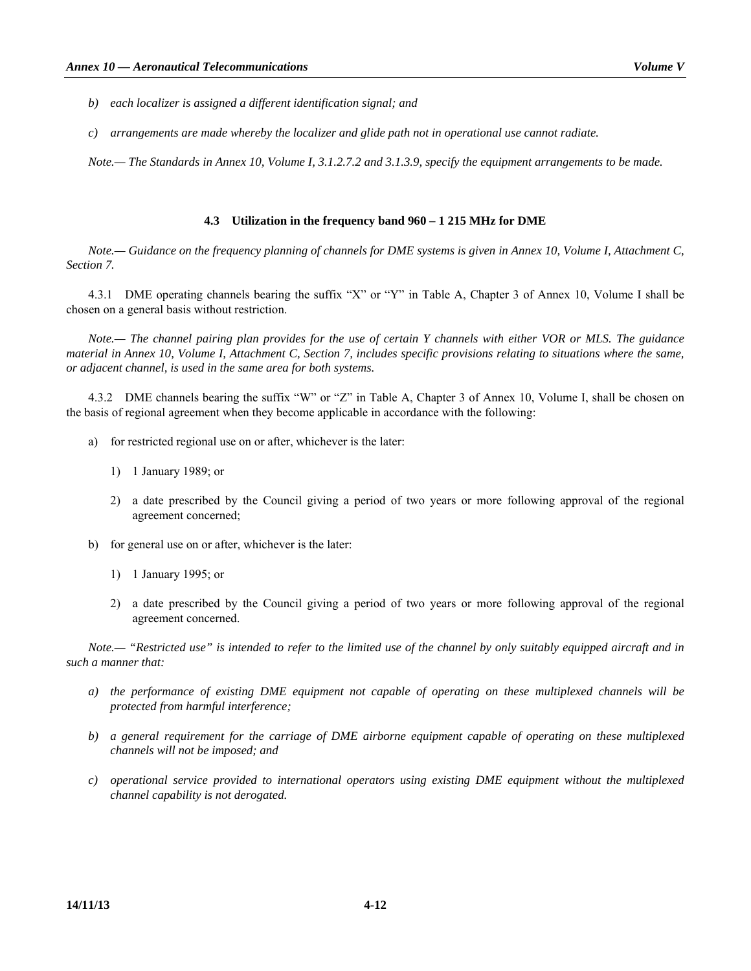- *b) each localizer is assigned a different identification signal; and*
- *c) arrangements are made whereby the localizer and glide path not in operational use cannot radiate.*

*Note.— The Standards in Annex 10, Volume I, 3.1.2.7.2 and 3.1.3.9, specify the equipment arrangements to be made.* 

### **4.3 Utilization in the frequency band 960 – 1 215 MHz for DME**

*Note.— Guidance on the frequency planning of channels for DME systems is given in Annex 10, Volume I, Attachment C, Section 7.* 

 4.3.1 DME operating channels bearing the suffix "X" or "Y" in Table A, Chapter 3 of Annex 10, Volume I shall be chosen on a general basis without restriction.

*Note.— The channel pairing plan provides for the use of certain Y channels with either VOR or MLS. The guidance material in Annex 10, Volume I, Attachment C, Section 7, includes specific provisions relating to situations where the same, or adjacent channel, is used in the same area for both systems.* 

 4.3.2 DME channels bearing the suffix "W" or "Z" in Table A, Chapter 3 of Annex 10, Volume I, shall be chosen on the basis of regional agreement when they become applicable in accordance with the following:

- a) for restricted regional use on or after, whichever is the later:
	- 1) 1 January 1989; or
	- 2) a date prescribed by the Council giving a period of two years or more following approval of the regional agreement concerned;
- b) for general use on or after, whichever is the later:
	- 1) 1 January 1995; or
	- 2) a date prescribed by the Council giving a period of two years or more following approval of the regional agreement concerned.

*Note.— "Restricted use" is intended to refer to the limited use of the channel by only suitably equipped aircraft and in such a manner that:* 

- *a) the performance of existing DME equipment not capable of operating on these multiplexed channels will be protected from harmful interference;*
- *b) a general requirement for the carriage of DME airborne equipment capable of operating on these multiplexed channels will not be imposed; and*
- *c) operational service provided to international operators using existing DME equipment without the multiplexed channel capability is not derogated.*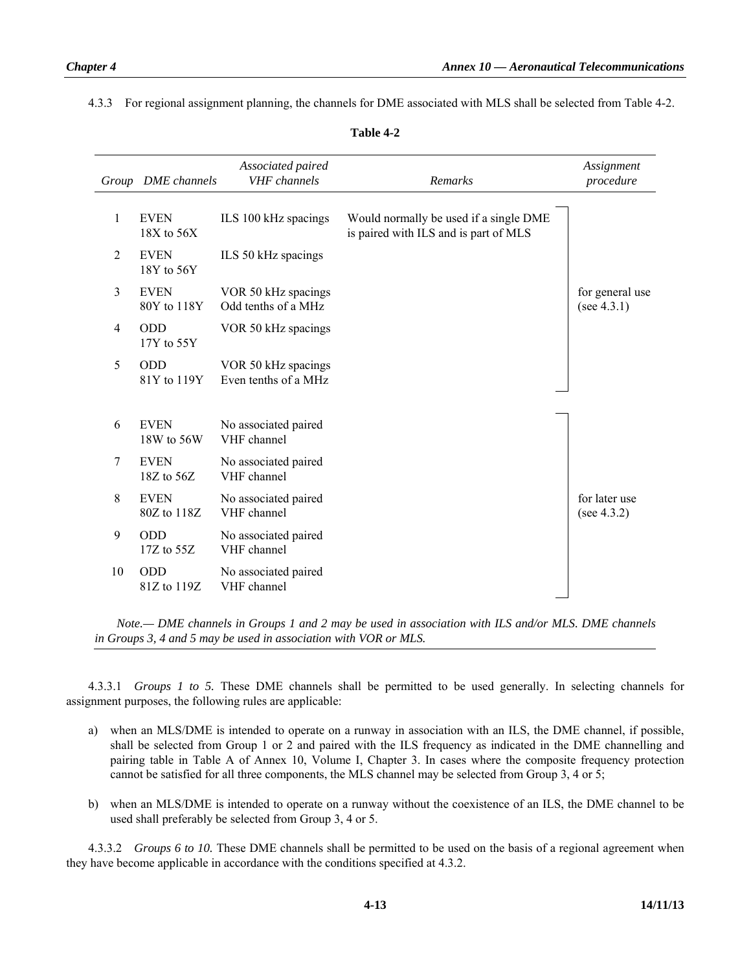4.3.3 For regional assignment planning, the channels for DME associated with MLS shall be selected from Table 4-2.

| Group | DME channels                  | Associated paired<br><b>VHF</b> channels    | Remarks                                                                         | Assignment<br>procedure         |
|-------|-------------------------------|---------------------------------------------|---------------------------------------------------------------------------------|---------------------------------|
| 1     | <b>EVEN</b><br>18X to 56X     | ILS 100 kHz spacings                        | Would normally be used if a single DME<br>is paired with ILS and is part of MLS |                                 |
| 2     | <b>EVEN</b><br>18Y to 56Y     | ILS 50 kHz spacings                         |                                                                                 |                                 |
| 3     | <b>EVEN</b><br>80Y to 118Y    | VOR 50 kHz spacings<br>Odd tenths of a MHz  |                                                                                 | for general use<br>(see 4.3.1)  |
| 4     | <b>ODD</b><br>17Y to 55Y      | VOR 50 kHz spacings                         |                                                                                 |                                 |
| 5     | <b>ODD</b><br>81Y to 119Y     | VOR 50 kHz spacings<br>Even tenths of a MHz |                                                                                 |                                 |
| 6     | <b>EVEN</b><br>18W to 56W     | No associated paired<br>VHF channel         |                                                                                 |                                 |
| 7     | <b>EVEN</b><br>$18Z$ to $56Z$ | No associated paired<br>VHF channel         |                                                                                 |                                 |
| 8     | <b>EVEN</b><br>80Z to 118Z    | No associated paired<br>VHF channel         |                                                                                 | for later use<br>(see $4.3.2$ ) |
| 9     | <b>ODD</b><br>$17Z$ to $55Z$  | No associated paired<br>VHF channel         |                                                                                 |                                 |
| 10    | <b>ODD</b><br>81Z to 119Z     | No associated paired<br>VHF channel         |                                                                                 |                                 |

| anı<br>в |  |
|----------|--|
|----------|--|

 *Note.— DME channels in Groups 1 and 2 may be used in association with ILS and/or MLS. DME channels in Groups 3, 4 and 5 may be used in association with VOR or MLS.* 

 4.3.3.1 *Groups 1 to 5.* These DME channels shall be permitted to be used generally. In selecting channels for assignment purposes, the following rules are applicable:

- a) when an MLS/DME is intended to operate on a runway in association with an ILS, the DME channel, if possible, shall be selected from Group 1 or 2 and paired with the ILS frequency as indicated in the DME channelling and pairing table in Table A of Annex 10, Volume I, Chapter 3. In cases where the composite frequency protection cannot be satisfied for all three components, the MLS channel may be selected from Group 3, 4 or 5;
- b) when an MLS/DME is intended to operate on a runway without the coexistence of an ILS, the DME channel to be used shall preferably be selected from Group 3, 4 or 5.

 4.3.3.2 *Groups 6 to 10.* These DME channels shall be permitted to be used on the basis of a regional agreement when they have become applicable in accordance with the conditions specified at 4.3.2.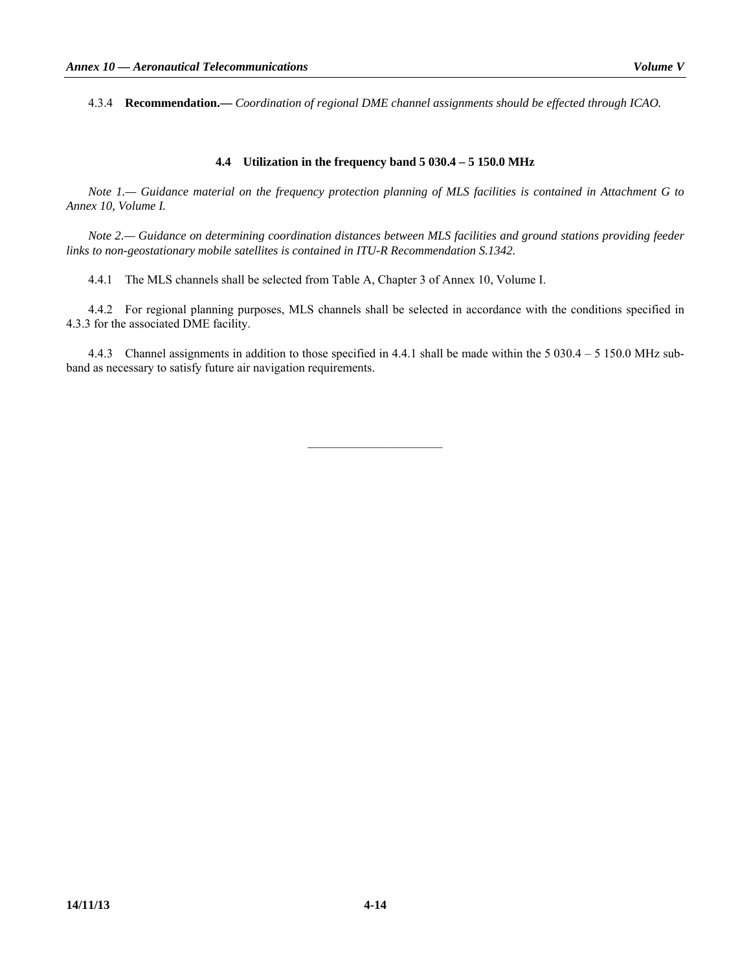4.3.4 **Recommendation.—** *Coordination of regional DME channel assignments should be effected through ICAO.* 

## **4.4 Utilization in the frequency band 5 030.4 – 5 150.0 MHz**

*Note 1.— Guidance material on the frequency protection planning of MLS facilities is contained in Attachment G to Annex 10, Volume I.* 

*Note 2.— Guidance on determining coordination distances between MLS facilities and ground stations providing feeder links to non-geostationary mobile satellites is contained in ITU-R Recommendation S.1342.* 

4.4.1 The MLS channels shall be selected from Table A, Chapter 3 of Annex 10, Volume I.

 4.4.2 For regional planning purposes, MLS channels shall be selected in accordance with the conditions specified in 4.3.3 for the associated DME facility.

 4.4.3 Channel assignments in addition to those specified in 4.4.1 shall be made within the 5 030.4 – 5 150.0 MHz subband as necessary to satisfy future air navigation requirements.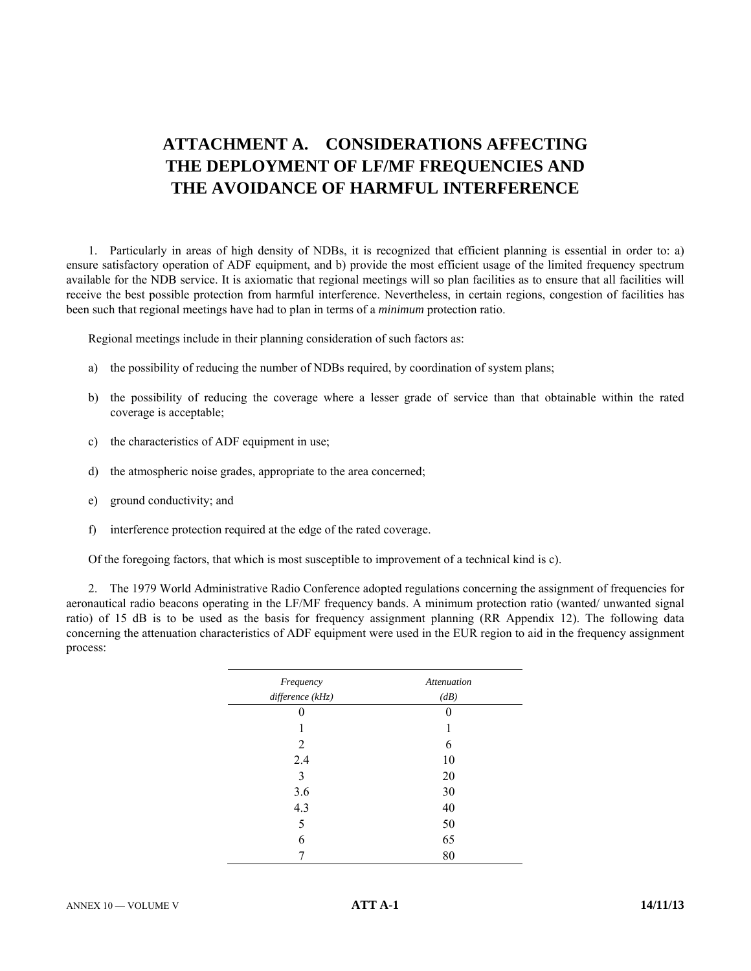# **ATTACHMENT A. CONSIDERATIONS AFFECTING THE DEPLOYMENT OF LF/MF FREQUENCIES AND THE AVOIDANCE OF HARMFUL INTERFERENCE**

 1. Particularly in areas of high density of NDBs, it is recognized that efficient planning is essential in order to: a) ensure satisfactory operation of ADF equipment, and b) provide the most efficient usage of the limited frequency spectrum available for the NDB service. It is axiomatic that regional meetings will so plan facilities as to ensure that all facilities will receive the best possible protection from harmful interference. Nevertheless, in certain regions, congestion of facilities has been such that regional meetings have had to plan in terms of a *minimum* protection ratio.

Regional meetings include in their planning consideration of such factors as:

- a) the possibility of reducing the number of NDBs required, by coordination of system plans;
- b) the possibility of reducing the coverage where a lesser grade of service than that obtainable within the rated coverage is acceptable;
- c) the characteristics of ADF equipment in use;
- d) the atmospheric noise grades, appropriate to the area concerned;
- e) ground conductivity; and
- f) interference protection required at the edge of the rated coverage.

Of the foregoing factors, that which is most susceptible to improvement of a technical kind is c).

 2. The 1979 World Administrative Radio Conference adopted regulations concerning the assignment of frequencies for aeronautical radio beacons operating in the LF/MF frequency bands. A minimum protection ratio (wanted/ unwanted signal ratio) of 15 dB is to be used as the basis for frequency assignment planning (RR Appendix 12). The following data concerning the attenuation characteristics of ADF equipment were used in the EUR region to aid in the frequency assignment process:

| Frequency        | <b>Attenuation</b> |
|------------------|--------------------|
| difference (kHz) | (dB)               |
| $\mathbf{0}$     | 0                  |
|                  |                    |
| 2                | 6                  |
| 2.4              | 10                 |
| 3                | 20                 |
| 3.6              | 30                 |
| 4.3              | 40                 |
| 5                | 50                 |
| 6                | 65                 |
|                  | 80                 |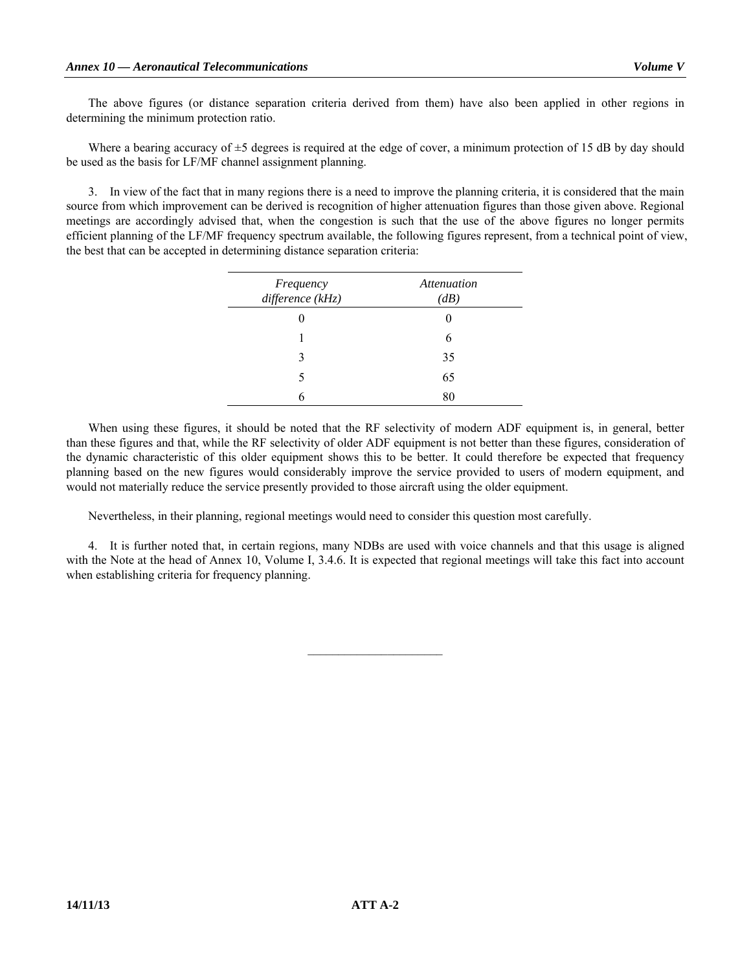The above figures (or distance separation criteria derived from them) have also been applied in other regions in determining the minimum protection ratio.

Where a bearing accuracy of  $\pm$ 5 degrees is required at the edge of cover, a minimum protection of 15 dB by day should be used as the basis for LF/MF channel assignment planning.

 3. In view of the fact that in many regions there is a need to improve the planning criteria, it is considered that the main source from which improvement can be derived is recognition of higher attenuation figures than those given above. Regional meetings are accordingly advised that, when the congestion is such that the use of the above figures no longer permits efficient planning of the LF/MF frequency spectrum available, the following figures represent, from a technical point of view, the best that can be accepted in determining distance separation criteria:

| Frequency<br>difference (kHz) | Attenuation<br>(dB) |
|-------------------------------|---------------------|
|                               |                     |
|                               | 6                   |
| ζ                             | 35                  |
| 5                             | 65                  |
|                               | 80                  |

 When using these figures, it should be noted that the RF selectivity of modern ADF equipment is, in general, better than these figures and that, while the RF selectivity of older ADF equipment is not better than these figures, consideration of the dynamic characteristic of this older equipment shows this to be better. It could therefore be expected that frequency planning based on the new figures would considerably improve the service provided to users of modern equipment, and would not materially reduce the service presently provided to those aircraft using the older equipment.

Nevertheless, in their planning, regional meetings would need to consider this question most carefully.

 4. It is further noted that, in certain regions, many NDBs are used with voice channels and that this usage is aligned with the Note at the head of Annex 10, Volume I, 3.4.6. It is expected that regional meetings will take this fact into account when establishing criteria for frequency planning.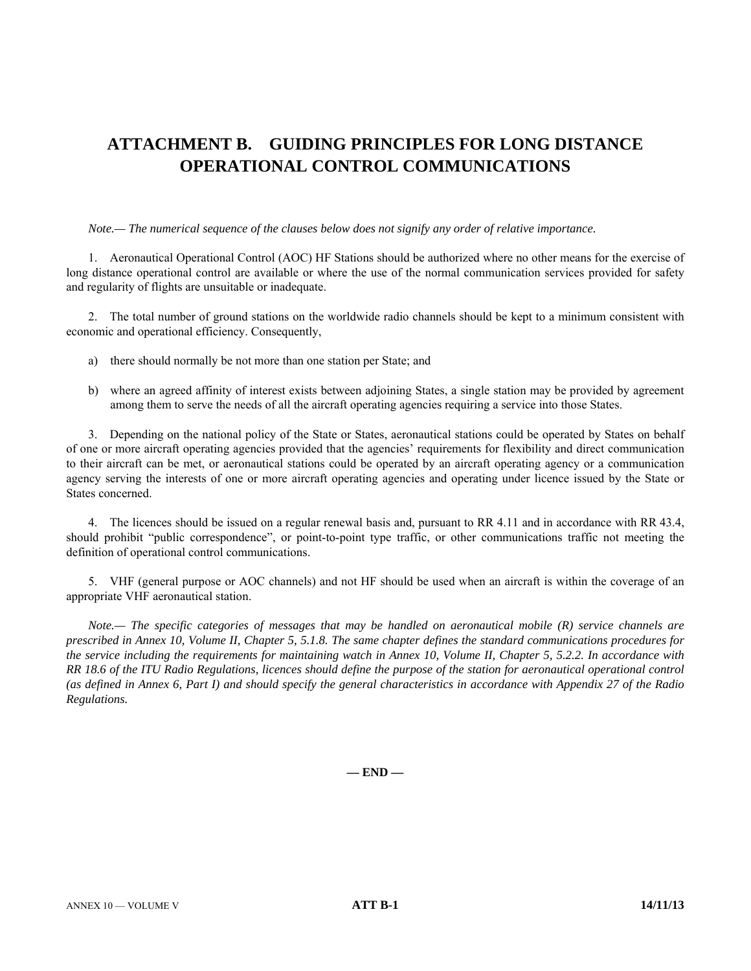# **ATTACHMENT B. GUIDING PRINCIPLES FOR LONG DISTANCE OPERATIONAL CONTROL COMMUNICATIONS**

## *Note.— The numerical sequence of the clauses below does not signify any order of relative importance.*

 1. Aeronautical Operational Control (AOC) HF Stations should be authorized where no other means for the exercise of long distance operational control are available or where the use of the normal communication services provided for safety and regularity of flights are unsuitable or inadequate.

 2. The total number of ground stations on the worldwide radio channels should be kept to a minimum consistent with economic and operational efficiency. Consequently,

- a) there should normally be not more than one station per State; and
- b) where an agreed affinity of interest exists between adjoining States, a single station may be provided by agreement among them to serve the needs of all the aircraft operating agencies requiring a service into those States.

 3. Depending on the national policy of the State or States, aeronautical stations could be operated by States on behalf of one or more aircraft operating agencies provided that the agencies' requirements for flexibility and direct communication to their aircraft can be met, or aeronautical stations could be operated by an aircraft operating agency or a communication agency serving the interests of one or more aircraft operating agencies and operating under licence issued by the State or States concerned.

 4. The licences should be issued on a regular renewal basis and, pursuant to RR 4.11 and in accordance with RR 43.4, should prohibit "public correspondence", or point-to-point type traffic, or other communications traffic not meeting the definition of operational control communications.

 5. VHF (general purpose or AOC channels) and not HF should be used when an aircraft is within the coverage of an appropriate VHF aeronautical station.

*Note.— The specific categories of messages that may be handled on aeronautical mobile (R) service channels are prescribed in Annex 10, Volume II, Chapter 5, 5.1.8. The same chapter defines the standard communications procedures for the service including the requirements for maintaining watch in Annex 10, Volume II, Chapter 5, 5.2.2. In accordance with RR 18.6 of the ITU Radio Regulations, licences should define the purpose of the station for aeronautical operational control (as defined in Annex 6, Part I) and should specify the general characteristics in accordance with Appendix 27 of the Radio Regulations.*

**— END —**